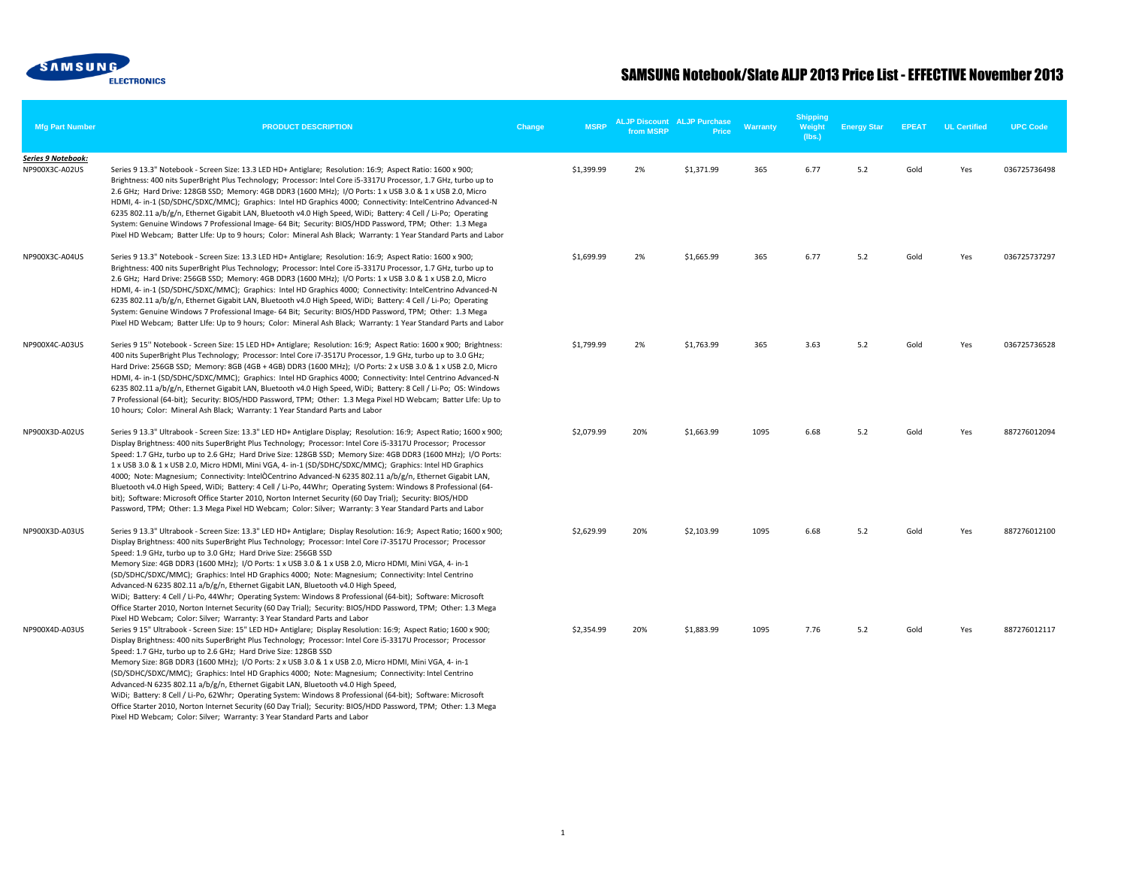

| <b>Mfg Part Number</b>               | <b>PRODUCT DESCRIPTION</b>                                                                                                                                                                                                                                                                                                                                                                                                                                                                                                                                                                                                                                                                                                                                                                                                                                                                                                   | Change | <b>MSRP</b> | from MSRP | <b>ALJP Discount ALJP Purchase</b><br><b>Price</b> | Warranty | <b>Shipping</b><br>Weight<br>(lbs.) | <b>Energy Star</b> | <b>EPEAT</b> | <b>UL Certified</b> | <b>UPC Code</b> |
|--------------------------------------|------------------------------------------------------------------------------------------------------------------------------------------------------------------------------------------------------------------------------------------------------------------------------------------------------------------------------------------------------------------------------------------------------------------------------------------------------------------------------------------------------------------------------------------------------------------------------------------------------------------------------------------------------------------------------------------------------------------------------------------------------------------------------------------------------------------------------------------------------------------------------------------------------------------------------|--------|-------------|-----------|----------------------------------------------------|----------|-------------------------------------|--------------------|--------------|---------------------|-----------------|
| Series 9 Notebook:<br>NP900X3C-A02US | Series 9 13.3" Notebook - Screen Size: 13.3 LED HD+ Antiglare; Resolution: 16:9; Aspect Ratio: 1600 x 900;<br>Brightness: 400 nits SuperBright Plus Technology; Processor: Intel Core i5-3317U Processor, 1.7 GHz, turbo up to<br>2.6 GHz; Hard Drive: 128GB SSD; Memory: 4GB DDR3 (1600 MHz); I/O Ports: 1 x USB 3.0 & 1 x USB 2.0, Micro<br>HDMI, 4- in-1 (SD/SDHC/SDXC/MMC); Graphics: Intel HD Graphics 4000; Connectivity: IntelCentrino Advanced-N<br>6235 802.11 a/b/g/n, Ethernet Gigabit LAN, Bluetooth v4.0 High Speed, WiDi; Battery: 4 Cell / Li-Po; Operating<br>System: Genuine Windows 7 Professional Image- 64 Bit; Security: BIOS/HDD Password, TPM; Other: 1.3 Mega<br>Pixel HD Webcam; Batter LIfe: Up to 9 hours; Color: Mineral Ash Black; Warranty: 1 Year Standard Parts and Labor                                                                                                                    |        | \$1,399.99  | 2%        | \$1,371.99                                         | 365      | 6.77                                | 5.2                | Gold         | Yes                 | 036725736498    |
| NP900X3C-A04US                       | Series 9 13.3" Notebook - Screen Size: 13.3 LED HD+ Antiglare; Resolution: 16:9; Aspect Ratio: 1600 x 900;<br>Brightness: 400 nits SuperBright Plus Technology; Processor: Intel Core i5-3317U Processor, 1.7 GHz, turbo up to<br>2.6 GHz; Hard Drive: 256GB SSD; Memory: 4GB DDR3 (1600 MHz); I/O Ports: 1 x USB 3.0 & 1 x USB 2.0, Micro<br>HDMI, 4- in-1 (SD/SDHC/SDXC/MMC); Graphics: Intel HD Graphics 4000; Connectivity: IntelCentrino Advanced-N<br>6235 802.11 a/b/g/n, Ethernet Gigabit LAN, Bluetooth v4.0 High Speed, WiDi; Battery: 4 Cell / Li-Po; Operating<br>System: Genuine Windows 7 Professional Image- 64 Bit; Security: BIOS/HDD Password, TPM; Other: 1.3 Mega<br>Pixel HD Webcam; Batter LIfe: Up to 9 hours; Color: Mineral Ash Black; Warranty: 1 Year Standard Parts and Labor                                                                                                                    |        | \$1,699.99  | 2%        | \$1,665.99                                         | 365      | 6.77                                | 5.2                | Gold         | Yes                 | 036725737297    |
| NP900X4C-A03US                       | Series 9 15" Notebook - Screen Size: 15 LED HD+ Antiglare; Resolution: 16:9; Aspect Ratio: 1600 x 900; Brightness:<br>400 nits SuperBright Plus Technology; Processor: Intel Core i7-3517U Processor, 1.9 GHz, turbo up to 3.0 GHz;<br>Hard Drive: 256GB SSD; Memory: 8GB (4GB + 4GB) DDR3 (1600 MHz); I/O Ports: 2 x USB 3.0 & 1 x USB 2.0, Micro<br>HDMI, 4- in-1 (SD/SDHC/SDXC/MMC); Graphics: Intel HD Graphics 4000; Connectivity: Intel Centrino Advanced-N<br>6235 802.11 a/b/g/n, Ethernet Gigabit LAN, Bluetooth v4.0 High Speed, WiDi; Battery: 8 Cell / Li-Po; OS: Windows<br>7 Professional (64-bit); Security: BIOS/HDD Password, TPM; Other: 1.3 Mega Pixel HD Webcam; Batter LIfe: Up to<br>10 hours; Color: Mineral Ash Black; Warranty: 1 Year Standard Parts and Labor                                                                                                                                     |        | \$1,799.99  | 2%        | \$1,763.99                                         | 365      | 3.63                                | 5.2                | Gold         | Yes                 | 036725736528    |
| NP900X3D-A02US                       | Series 9 13.3" Ultrabook - Screen Size: 13.3" LED HD+ Antiglare Display; Resolution: 16:9; Aspect Ratio; 1600 x 900;<br>Display Brightness: 400 nits SuperBright Plus Technology; Processor: Intel Core i5-3317U Processor; Processor<br>Speed: 1.7 GHz, turbo up to 2.6 GHz; Hard Drive Size: 128GB SSD; Memory Size: 4GB DDR3 (1600 MHz); I/O Ports:<br>1 x USB 3.0 & 1 x USB 2.0, Micro HDMI, Mini VGA, 4- in-1 (SD/SDHC/SDXC/MMC); Graphics: Intel HD Graphics<br>4000; Note: Magnesium; Connectivity: IntelOCentrino Advanced-N 6235 802.11 a/b/g/n, Ethernet Gigabit LAN,<br>Bluetooth v4.0 High Speed, WiDi; Battery: 4 Cell / Li-Po, 44Whr; Operating System: Windows 8 Professional (64-<br>bit); Software: Microsoft Office Starter 2010, Norton Internet Security (60 Day Trial); Security: BIOS/HDD<br>Password, TPM; Other: 1.3 Mega Pixel HD Webcam; Color: Silver; Warranty: 3 Year Standard Parts and Labor  |        | \$2,079.99  | 20%       | \$1,663.99                                         | 1095     | 6.68                                | 5.2                | Gold         | Yes                 | 887276012094    |
| NP900X3D-A03US                       | Series 9 13.3" Ultrabook - Screen Size: 13.3" LED HD+ Antiglare; Display Resolution: 16:9; Aspect Ratio; 1600 x 900;<br>Display Brightness: 400 nits SuperBright Plus Technology; Processor: Intel Core i7-3517U Processor; Processor<br>Speed: 1.9 GHz, turbo up to 3.0 GHz; Hard Drive Size: 256GB SSD<br>Memory Size: 4GB DDR3 (1600 MHz); I/O Ports: 1 x USB 3.0 & 1 x USB 2.0, Micro HDMI, Mini VGA, 4- in-1<br>(SD/SDHC/SDXC/MMC); Graphics: Intel HD Graphics 4000; Note: Magnesium; Connectivity: Intel Centrino<br>Advanced-N 6235 802.11 a/b/g/n, Ethernet Gigabit LAN, Bluetooth v4.0 High Speed,<br>WiDi; Battery: 4 Cell / Li-Po, 44Whr; Operating System: Windows 8 Professional (64-bit); Software: Microsoft<br>Office Starter 2010, Norton Internet Security (60 Day Trial); Security: BIOS/HDD Password, TPM; Other: 1.3 Mega<br>Pixel HD Webcam; Color: Silver; Warranty: 3 Year Standard Parts and Labor |        | \$2,629.99  | 20%       | \$2,103.99                                         | 1095     | 6.68                                | 5.2                | Gold         | Yes                 | 887276012100    |
| NP900X4D-A03US                       | Series 9 15" Ultrabook - Screen Size: 15" LED HD+ Antiglare; Display Resolution: 16:9; Aspect Ratio; 1600 x 900;<br>Display Brightness: 400 nits SuperBright Plus Technology; Processor: Intel Core i5-3317U Processor; Processor<br>Speed: 1.7 GHz, turbo up to 2.6 GHz; Hard Drive Size: 128GB SSD<br>Memory Size: 8GB DDR3 (1600 MHz); I/O Ports: 2 x USB 3.0 & 1 x USB 2.0, Micro HDMI, Mini VGA, 4- in-1<br>(SD/SDHC/SDXC/MMC); Graphics: Intel HD Graphics 4000; Note: Magnesium; Connectivity: Intel Centrino<br>Advanced-N 6235 802.11 a/b/g/n, Ethernet Gigabit LAN, Bluetooth v4.0 High Speed,<br>WiDi; Battery: 8 Cell / Li-Po, 62Whr; Operating System: Windows 8 Professional (64-bit); Software: Microsoft<br>Office Starter 2010, Norton Internet Security (60 Day Trial); Security: BIOS/HDD Password, TPM; Other: 1.3 Mega<br>Pixel HD Webcam; Color: Silver; Warranty: 3 Year Standard Parts and Labor     |        | \$2,354.99  | 20%       | \$1,883.99                                         | 1095     | 7.76                                | 5.2                | Gold         | Yes                 | 887276012117    |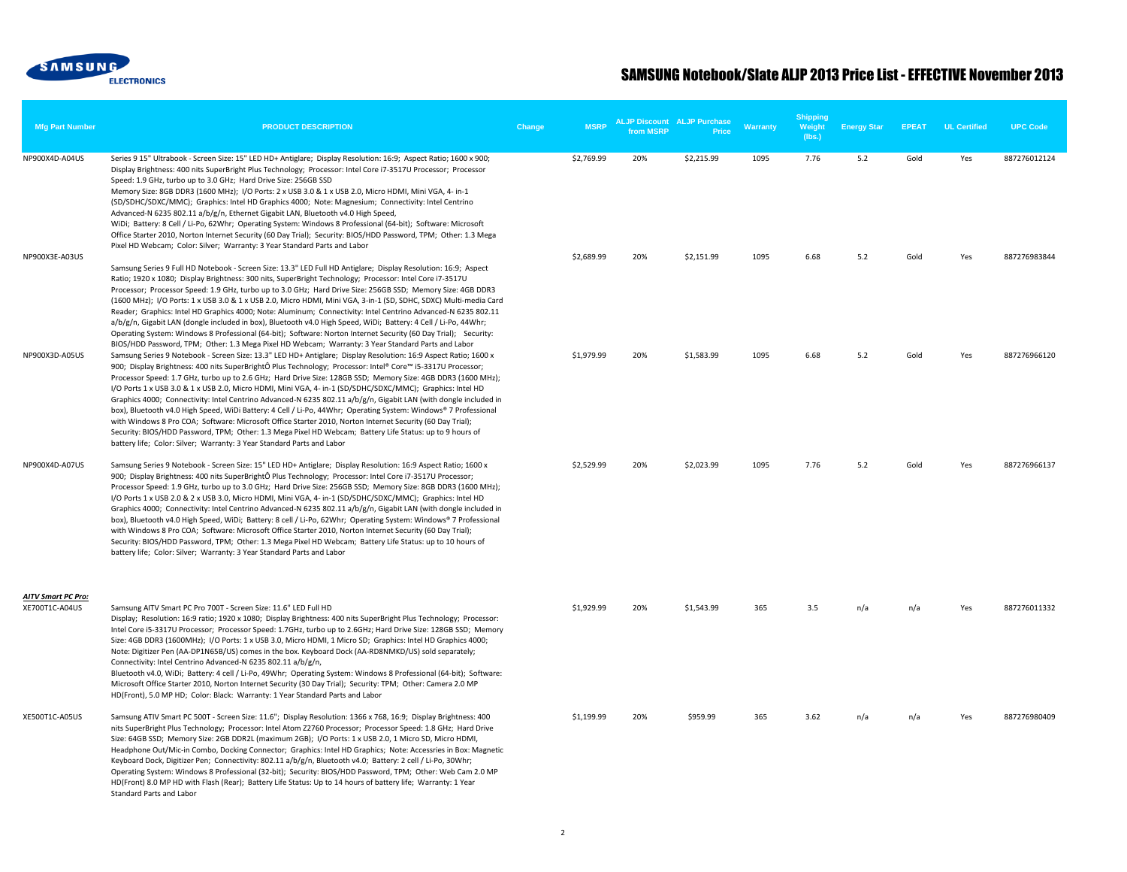

| <b>Mfg Part Number</b>                      | <b>PRODUCT DESCRIPTION</b>                                                                                                                                                                                                                                                                                                                                                                                                                                                                                                                                                                                                                                                                                                                                                                                                                                                                                                                                                                            | Change | <b>MSRP</b> | from MSRP | <b>ALJP Discount ALJP Purchase</b><br><b>Price</b> | Warranty | <b>Shipping</b><br>Weight<br>(lbs.) | <b>Energy Star</b> | <b>EPEAT</b> | <b>UL Certified</b> | <b>UPC Code</b> |
|---------------------------------------------|-------------------------------------------------------------------------------------------------------------------------------------------------------------------------------------------------------------------------------------------------------------------------------------------------------------------------------------------------------------------------------------------------------------------------------------------------------------------------------------------------------------------------------------------------------------------------------------------------------------------------------------------------------------------------------------------------------------------------------------------------------------------------------------------------------------------------------------------------------------------------------------------------------------------------------------------------------------------------------------------------------|--------|-------------|-----------|----------------------------------------------------|----------|-------------------------------------|--------------------|--------------|---------------------|-----------------|
| NP900X4D-A04US                              | Series 9 15" Ultrabook - Screen Size: 15" LED HD+ Antiglare; Display Resolution: 16:9; Aspect Ratio; 1600 x 900;<br>Display Brightness: 400 nits SuperBright Plus Technology; Processor: Intel Core i7-3517U Processor; Processor<br>Speed: 1.9 GHz, turbo up to 3.0 GHz; Hard Drive Size: 256GB SSD<br>Memory Size: 8GB DDR3 (1600 MHz); I/O Ports: 2 x USB 3.0 & 1 x USB 2.0, Micro HDMI, Mini VGA, 4- in-1<br>(SD/SDHC/SDXC/MMC); Graphics: Intel HD Graphics 4000; Note: Magnesium; Connectivity: Intel Centrino<br>Advanced-N 6235 802.11 a/b/g/n, Ethernet Gigabit LAN, Bluetooth v4.0 High Speed,<br>WiDi; Battery: 8 Cell / Li-Po, 62Whr; Operating System: Windows 8 Professional (64-bit); Software: Microsoft<br>Office Starter 2010, Norton Internet Security (60 Day Trial); Security: BIOS/HDD Password, TPM; Other: 1.3 Mega<br>Pixel HD Webcam; Color: Silver; Warranty: 3 Year Standard Parts and Labor                                                                              |        | \$2,769.99  | 20%       | \$2,215.99                                         | 1095     | 7.76                                | 5.2                | Gold         | Yes                 | 887276012124    |
| NP900X3E-A03US                              | Samsung Series 9 Full HD Notebook - Screen Size: 13.3" LED Full HD Antiglare; Display Resolution: 16:9; Aspect<br>Ratio; 1920 x 1080; Display Brightness: 300 nits, SuperBright Technology; Processor: Intel Core i7-3517U<br>Processor; Processor Speed: 1.9 GHz, turbo up to 3.0 GHz; Hard Drive Size: 256GB SSD; Memory Size: 4GB DDR3<br>(1600 MHz); I/O Ports: 1 x USB 3.0 & 1 x USB 2.0, Micro HDMI, Mini VGA, 3-in-1 (SD, SDHC, SDXC) Multi-media Card<br>Reader; Graphics: Intel HD Graphics 4000; Note: Aluminum; Connectivity: Intel Centrino Advanced-N 6235 802.11<br>a/b/g/n, Gigabit LAN (dongle included in box), Bluetooth v4.0 High Speed, WiDi; Battery: 4 Cell / Li-Po, 44Whr;<br>Operating System: Windows 8 Professional (64-bit); Software: Norton Internet Security (60 Day Trial); Security:<br>BIOS/HDD Password, TPM; Other: 1.3 Mega Pixel HD Webcam; Warranty: 3 Year Standard Parts and Labor                                                                            |        | \$2,689.99  | 20%       | \$2,151.99                                         | 1095     | 6.68                                | 5.2                | Gold         | Yes                 | 887276983844    |
| NP900X3D-A05US                              | Samsung Series 9 Notebook - Screen Size: 13.3" LED HD+ Antiglare; Display Resolution: 16:9 Aspect Ratio; 1600 x<br>900; Display Brightness: 400 nits SuperBrightÔ Plus Technology; Processor: Intel® Core™ i5-3317U Processor;<br>Processor Speed: 1.7 GHz, turbo up to 2.6 GHz; Hard Drive Size: 128GB SSD; Memory Size: 4GB DDR3 (1600 MHz);<br>I/O Ports 1 x USB 3.0 & 1 x USB 2.0, Micro HDMI, Mini VGA, 4- in-1 (SD/SDHC/SDXC/MMC); Graphics: Intel HD<br>Graphics 4000; Connectivity: Intel Centrino Advanced-N 6235 802.11 a/b/g/n, Gigabit LAN (with dongle included in<br>box), Bluetooth v4.0 High Speed, WiDi Battery: 4 Cell / Li-Po, 44Whr; Operating System: Windows® 7 Professional<br>with Windows 8 Pro COA; Software: Microsoft Office Starter 2010, Norton Internet Security (60 Day Trial);<br>Security: BIOS/HDD Password, TPM; Other: 1.3 Mega Pixel HD Webcam; Battery Life Status: up to 9 hours of<br>battery life; Color: Silver; Warranty: 3 Year Standard Parts and Labor |        | \$1,979.99  | 20%       | \$1,583.99                                         | 1095     | 6.68                                | 5.2                | Gold         | Yes                 | 887276966120    |
| NP900X4D-A07US                              | Samsung Series 9 Notebook - Screen Size: 15" LED HD+ Antiglare; Display Resolution: 16:9 Aspect Ratio; 1600 x<br>900; Display Brightness: 400 nits SuperBrightÔ Plus Technology; Processor: Intel Core i7-3517U Processor;<br>Processor Speed: 1.9 GHz, turbo up to 3.0 GHz; Hard Drive Size: 256GB SSD; Memory Size: 8GB DDR3 (1600 MHz);<br>I/O Ports 1 x USB 2.0 & 2 x USB 3.0, Micro HDMI, Mini VGA, 4- in-1 (SD/SDHC/SDXC/MMC); Graphics: Intel HD<br>Graphics 4000; Connectivity: Intel Centrino Advanced-N 6235 802.11 a/b/g/n, Gigabit LAN (with dongle included in<br>box), Bluetooth v4.0 High Speed, WiDi; Battery: 8 cell / Li-Po, 62Whr; Operating System: Windows® 7 Professional<br>with Windows 8 Pro COA; Software: Microsoft Office Starter 2010, Norton Internet Security (60 Day Trial);<br>Security: BIOS/HDD Password, TPM; Other: 1.3 Mega Pixel HD Webcam; Battery Life Status: up to 10 hours of<br>battery life; Color: Silver; Warranty: 3 Year Standard Parts and Labor   |        | \$2,529.99  | 20%       | \$2,023.99                                         | 1095     | 7.76                                | 5.2                | Gold         | Yes                 | 887276966137    |
| <b>AITV Smart PC Pro:</b><br>XE700T1C-A04US | Samsung AITV Smart PC Pro 700T - Screen Size: 11.6" LED Full HD<br>Display; Resolution: 16:9 ratio; 1920 x 1080; Display Brightness: 400 nits SuperBright Plus Technology; Processor:<br>Intel Core i5-3317U Processor; Processor Speed: 1.7GHz, turbo up to 2.6GHz; Hard Drive Size: 128GB SSD; Memory<br>Size: 4GB DDR3 (1600MHz); I/O Ports: 1 x USB 3.0, Micro HDMI, 1 Micro SD; Graphics: Intel HD Graphics 4000;<br>Note: Digitizer Pen (AA-DP1N65B/US) comes in the box. Keyboard Dock (AA-RD8NMKD/US) sold separately;<br>Connectivity: Intel Centrino Advanced-N 6235 802.11 a/b/g/n,<br>Bluetooth v4.0, WiDi; Battery: 4 cell / Li-Po, 49Whr; Operating System: Windows 8 Professional (64-bit); Software:<br>Microsoft Office Starter 2010, Norton Internet Security (30 Day Trial); Security: TPM; Other: Camera 2.0 MP<br>HD(Front), 5.0 MP HD; Color: Black: Warranty: 1 Year Standard Parts and Labor                                                                                  |        | \$1,929.99  | 20%       | \$1,543.99                                         | 365      | 3.5                                 | n/a                | n/a          | Yes                 | 887276011332    |
| XE500T1C-A05US                              | Samsung ATIV Smart PC 500T - Screen Size: 11.6"; Display Resolution: 1366 x 768, 16:9; Display Brightness: 400<br>nits SuperBright Plus Technology; Processor: Intel Atom Z2760 Processor; Processor Speed: 1.8 GHz; Hard Drive<br>Size: 64GB SSD; Memory Size: 2GB DDR2L (maximum 2GB); I/O Ports: 1 x USB 2.0, 1 Micro SD, Micro HDMI,<br>Headphone Out/Mic-in Combo, Docking Connector; Graphics: Intel HD Graphics; Note: Accessries in Box: Magnetic<br>Keyboard Dock, Digitizer Pen; Connectivity: 802.11 a/b/g/n, Bluetooth v4.0; Battery: 2 cell / Li-Po, 30Whr;<br>Operating System: Windows 8 Professional (32-bit); Security: BIOS/HDD Password, TPM; Other: Web Cam 2.0 MP<br>HD(Front) 8.0 MP HD with Flash (Rear); Battery Life Status: Up to 14 hours of battery life; Warranty: 1 Year<br>Standard Parts and Labor                                                                                                                                                                    |        | \$1,199.99  | 20%       | \$959.99                                           | 365      | 3.62                                | n/a                | n/a          | Yes                 | 887276980409    |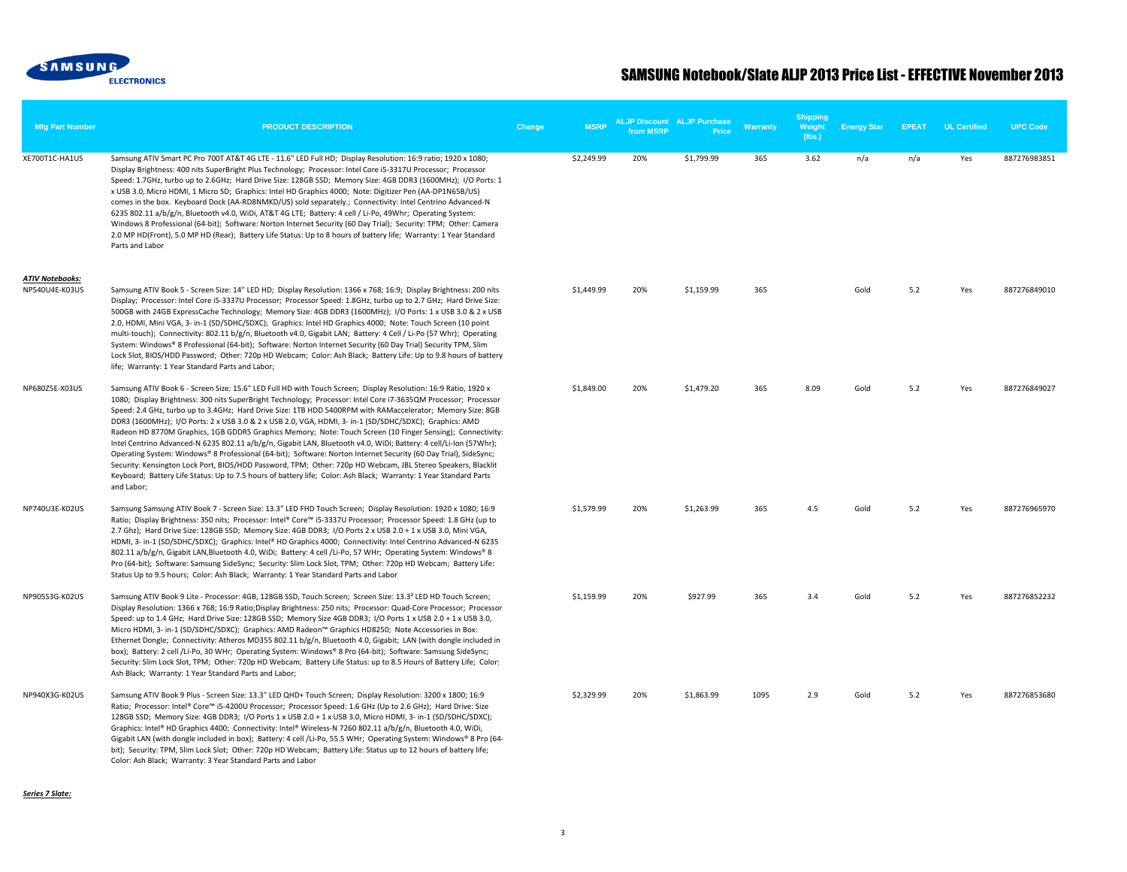

| <b>Mfg Part Number</b>                   | <b>PRODUCT DESCRIPTION</b>                                                                                                                                                                                                                                                                                                                                                                                                                                                                                                                                                                                                                                                                                                                                                                                                                                                                                                                                                                                                                                          | Change | <b>MSRP</b> | from MSRP | <b>ALJP Discount ALJP Purchase</b><br>Price | Warranty | <b>Shipping</b><br>Weight<br>(lbs.) | <b>Energy Star</b> | <b>EPEAT</b> | <b>UL Certified</b> | <b>UPC Code</b> |
|------------------------------------------|---------------------------------------------------------------------------------------------------------------------------------------------------------------------------------------------------------------------------------------------------------------------------------------------------------------------------------------------------------------------------------------------------------------------------------------------------------------------------------------------------------------------------------------------------------------------------------------------------------------------------------------------------------------------------------------------------------------------------------------------------------------------------------------------------------------------------------------------------------------------------------------------------------------------------------------------------------------------------------------------------------------------------------------------------------------------|--------|-------------|-----------|---------------------------------------------|----------|-------------------------------------|--------------------|--------------|---------------------|-----------------|
| XE700T1C-HA1US                           | Samsung ATIV Smart PC Pro 700T AT&T 4G LTE - 11.6" LED Full HD; Display Resolution: 16:9 ratio; 1920 x 1080;<br>Display Brightness: 400 nits SuperBright Plus Technology; Processor: Intel Core i5-3317U Processor; Processor<br>Speed: 1.7GHz, turbo up to 2.6GHz; Hard Drive Size: 128GB SSD; Memory Size: 4GB DDR3 (1600MHz); I/O Ports: 1<br>x USB 3.0, Micro HDMI, 1 Micro SD; Graphics: Intel HD Graphics 4000; Note: Digitizer Pen (AA-DP1N65B/US)<br>comes in the box. Keyboard Dock (AA-RD8NMKD/US) sold separately.; Connectivity: Intel Centrino Advanced-N<br>6235 802.11 a/b/g/n, Bluetooth v4.0, WiDi, AT&T 4G LTE; Battery: 4 cell / Li-Po, 49Whr; Operating System:<br>Windows 8 Professional (64-bit); Software: Norton Internet Security (60 Day Trial); Security: TPM; Other: Camera<br>2.0 MP HD(Front), 5.0 MP HD (Rear); Battery Life Status: Up to 8 hours of battery life; Warranty: 1 Year Standard<br>Parts and Labor                                                                                                                     |        | \$2,249.99  | 20%       | \$1,799.99                                  | 365      | 3.62                                | n/a                | n/a          | Yes                 | 887276983851    |
| <b>ATIV Notebooks:</b><br>NP540U4E-K03US | Samsung ATIV Book 5 - Screen Size: 14" LED HD; Display Resolution: 1366 x 768; 16:9; Display Brightness: 200 nits<br>Display; Processor: Intel Core i5-3337U Processor; Processor Speed: 1.8GHz, turbo up to 2.7 GHz; Hard Drive Size:<br>500GB with 24GB ExpressCache Technology; Memory Size: 4GB DDR3 (1600MHz); I/O Ports: 1 x USB 3.0 & 2 x USB<br>2.0, HDMI, Mini VGA, 3- in-1 (SD/SDHC/SDXC); Graphics: Intel HD Graphics 4000; Note: Touch Screen (10 point<br>multi-touch); Connectivity: 802.11 b/g/n, Bluetooth v4.0, Gigabit LAN; Battery: 4 Cell / Li-Po (57 Whr); Operating<br>System: Windows® 8 Professional (64-bit); Software: Norton Internet Security (60 Day Trial) Security TPM, Slim<br>Lock Slot, BIOS/HDD Password; Other: 720p HD Webcam; Color: Ash Black; Battery Life: Up to 9.8 hours of battery<br>life; Warranty: 1 Year Standard Parts and Labor;                                                                                                                                                                                  |        | \$1,449.99  | 20%       | \$1,159.99                                  | 365      |                                     | Gold               | 5.2          | Yes                 | 887276849010    |
| NP680Z5E-X03US                           | Samsung ATIV Book 6 - Screen Size: 15.6" LED Full HD with Touch Screen; Display Resolution: 16:9 Ratio, 1920 x<br>1080; Display Brightness: 300 nits SuperBright Technology; Processor: Intel Core i7-3635QM Processor; Processor<br>Speed: 2.4 GHz, turbo up to 3.4GHz; Hard Drive Size: 1TB HDD 5400RPM with RAMaccelerator; Memory Size: 8GB<br>DDR3 (1600MHz); I/O Ports: 2 x USB 3.0 & 2 x USB 2.0, VGA, HDMI, 3- in-1 (SD/SDHC/SDXC); Graphics: AMD<br>Radeon HD 8770M Graphics, 1GB GDDR5 Graphics Memory; Note: Touch Screen (10 Finger Sensing); Connectivity:<br>Intel Centrino Advanced-N 6235 802.11 a/b/g/n, Gigabit LAN, Bluetooth v4.0, WiDi; Battery: 4 cell/Li-lon (57Whr);<br>Operating System: Windows® 8 Professional (64-bit); Software: Norton Internet Security (60 Day Trial), SideSync;<br>Security: Kensington Lock Port, BIOS/HDD Password, TPM; Other: 720p HD Webcam, JBL Stereo Speakers, Blacklit<br>Keyboard; Battery Life Status: Up to 7.5 hours of battery life; Color: Ash Black; Warranty: 1 Year Standard Parts<br>and Labor; |        | \$1,849.00  | 20%       | \$1,479.20                                  | 365      | 8.09                                | Gold               | 5.2          | Yes                 | 887276849027    |
| NP740U3E-K02US                           | Samsung Samsung ATIV Book 7 - Screen Size: 13.3" LED FHD Touch Screen; Display Resolution: 1920 x 1080; 16:9<br>Ratio; Display Brightness: 350 nits; Processor: Intel® Core™ i5-3337U Processor; Processor Speed: 1.8 GHz (up to<br>2.7 Ghz); Hard Drive Size: 128GB SSD; Memory Size: 4GB DDR3; I/O Ports 2 x USB 2.0 + 1 x USB 3.0, Mini VGA,<br>HDMI, 3- in-1 (SD/SDHC/SDXC); Graphics: Intel® HD Graphics 4000; Connectivity: Intel Centrino Advanced-N 6235<br>802.11 a/b/g/n, Gigabit LAN, Bluetooth 4.0, WiDi; Battery: 4 cell /Li-Po, 57 WHr; Operating System: Windows® 8<br>Pro (64-bit); Software: Samsung SideSync; Security: Slim Lock Slot, TPM; Other: 720p HD Webcam; Battery Life:<br>Status Up to 9.5 hours; Color: Ash Black; Warranty: 1 Year Standard Parts and Labor                                                                                                                                                                                                                                                                          |        | \$1,579.99  | 20%       | \$1,263.99                                  | 365      | 4.5                                 | Gold               | 5.2          | Yes                 | 887276965970    |
| NP905S3G-K02US                           | Samsung ATIV Book 9 Lite - Processor: 4GB, 128GB SSD, Touch Screen; Screen Size: 13.3 <sup>2</sup> LED HD Touch Screen;<br>Display Resolution: 1366 x 768; 16:9 Ratio; Display Brightness: 250 nits; Processor: Quad-Core Processor; Processor<br>Speed: up to 1.4 GHz; Hard Drive Size: 128GB SSD; Memory Size 4GB DDR3; I/O Ports 1 x USB 2.0 + 1 x USB 3.0,<br>Micro HDMI, 3- in-1 (SD/SDHC/SDXC); Graphics: AMD Radeon™ Graphics HD8250; Note Accessories in Box:<br>Ethernet Dongle; Connectivity: Atheros MD355 802.11 b/g/n, Bluetooth 4.0, Gigabit; LAN (with dongle included in<br>box); Battery: 2 cell /Li-Po, 30 WHr; Operating System: Windows® 8 Pro (64-bit); Software: Samsung SideSync;<br>Security: Slim Lock Slot, TPM; Other: 720p HD Webcam; Battery Life Status: up to 8.5 Hours of Battery Life; Color:<br>Ash Black; Warranty: 1 Year Standard Parts and Labor;                                                                                                                                                                             |        | \$1,159.99  | 20%       | \$927.99                                    | 365      | 3.4                                 | Gold               | 5.2          | Yes                 | 887276852232    |
| NP940X3G-K02US                           | Samsung ATIV Book 9 Plus - Screen Size: 13.3" LED QHD+ Touch Screen; Display Resolution: 3200 x 1800; 16:9<br>Ratio; Processor: Intel® Core™ i5-4200U Processor; Processor Speed: 1.6 GHz (Up to 2.6 GHz); Hard Drive: Size<br>128GB SSD; Memory Size: 4GB DDR3; I/O Ports 1 x USB 2.0 + 1 x USB 3.0, Micro HDMI, 3- in-1 (SD/SDHC/SDXC);<br>Graphics: Intel® HD Graphics 4400; Connectivity: Intel® Wireless-N 7260 802.11 a/b/g/n, Bluetooth 4.0, WiDi,<br>Gigabit LAN (with dongle included in box); Battery: 4 cell /Li-Po, 55.5 WHr; Operating System: Windows® 8 Pro (64-<br>bit); Security: TPM, Slim Lock Slot; Other: 720p HD Webcam; Battery Life: Status up to 12 hours of battery life;<br>Color: Ash Black; Warranty: 3 Year Standard Parts and Labor                                                                                                                                                                                                                                                                                                  |        | \$2,329.99  | 20%       | \$1,863.99                                  | 1095     | 2.9                                 | Gold               | 5.2          | Yes                 | 887276853680    |

*Series 7 Slate:*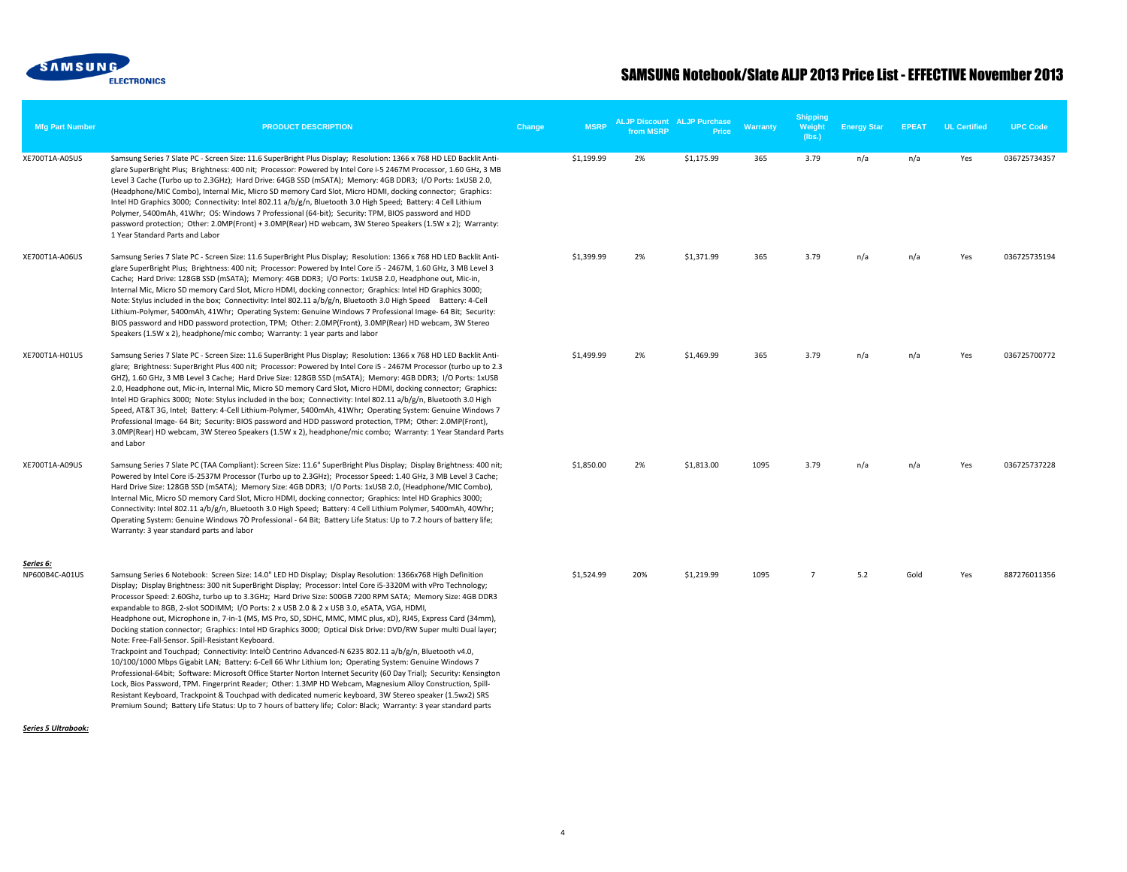

| <b>Mfg Part Number</b>             | <b>PRODUCT DESCRIPTION</b>                                                                                                                                                                                                                                                                                                                                                                                                                                                                                                                                                                                                                                                                                                                                                                                                                                                                                                                                                                                                                                                                                                                                                                                                                                                                                                                                                                                             | Change | <b>MSRP</b> | from MSRP | <b>ALJP Discount ALJP Purchase</b><br>Price | Warranty | <b>Shipping</b><br>Weight<br>(lbs.) | <b>Energy Star</b> | <b>EPEAT</b> | <b>UL Certified</b> | <b>UPC Code</b> |
|------------------------------------|------------------------------------------------------------------------------------------------------------------------------------------------------------------------------------------------------------------------------------------------------------------------------------------------------------------------------------------------------------------------------------------------------------------------------------------------------------------------------------------------------------------------------------------------------------------------------------------------------------------------------------------------------------------------------------------------------------------------------------------------------------------------------------------------------------------------------------------------------------------------------------------------------------------------------------------------------------------------------------------------------------------------------------------------------------------------------------------------------------------------------------------------------------------------------------------------------------------------------------------------------------------------------------------------------------------------------------------------------------------------------------------------------------------------|--------|-------------|-----------|---------------------------------------------|----------|-------------------------------------|--------------------|--------------|---------------------|-----------------|
| XE700T1A-A05US                     | Samsung Series 7 Slate PC - Screen Size: 11.6 SuperBright Plus Display; Resolution: 1366 x 768 HD LED Backlit Anti-<br>glare SuperBright Plus; Brightness: 400 nit; Processor: Powered by Intel Core i-5 2467M Processor, 1.60 GHz, 3 MB<br>Level 3 Cache (Turbo up to 2.3GHz); Hard Drive: 64GB SSD (mSATA); Memory: 4GB DDR3; I/O Ports: 1xUSB 2.0,<br>(Headphone/MIC Combo), Internal Mic, Micro SD memory Card Slot, Micro HDMI, docking connector; Graphics:<br>Intel HD Graphics 3000; Connectivity: Intel 802.11 a/b/g/n, Bluetooth 3.0 High Speed; Battery: 4 Cell Lithium<br>Polymer, 5400mAh, 41Whr; OS: Windows 7 Professional (64-bit); Security: TPM, BIOS password and HDD<br>password protection; Other: 2.0MP(Front) + 3.0MP(Rear) HD webcam, 3W Stereo Speakers (1.5W x 2); Warranty:<br>1 Year Standard Parts and Labor                                                                                                                                                                                                                                                                                                                                                                                                                                                                                                                                                                              |        | \$1,199.99  | 2%        | \$1,175.99                                  | 365      | 3.79                                | n/a                | n/a          | Yes                 | 036725734357    |
| XE700T1A-A06US                     | Samsung Series 7 Slate PC - Screen Size: 11.6 SuperBright Plus Display; Resolution: 1366 x 768 HD LED Backlit Anti-<br>glare SuperBright Plus; Brightness: 400 nit; Processor: Powered by Intel Core i5 - 2467M, 1.60 GHz, 3 MB Level 3<br>Cache; Hard Drive: 128GB SSD (mSATA); Memory: 4GB DDR3; I/O Ports: 1xUSB 2.0, Headphone out, Mic-in,<br>Internal Mic, Micro SD memory Card Slot, Micro HDMI, docking connector; Graphics: Intel HD Graphics 3000;<br>Note: Stylus included in the box; Connectivity: Intel 802.11 a/b/g/n, Bluetooth 3.0 High Speed Battery: 4-Cell<br>Lithium-Polymer, 5400mAh, 41Whr; Operating System: Genuine Windows 7 Professional Image- 64 Bit; Security:<br>BIOS password and HDD password protection, TPM; Other: 2.0MP(Front), 3.0MP(Rear) HD webcam, 3W Stereo<br>Speakers (1.5W x 2), headphone/mic combo; Warranty: 1 year parts and labor                                                                                                                                                                                                                                                                                                                                                                                                                                                                                                                                    |        | \$1,399.99  | 2%        | \$1,371.99                                  | 365      | 3.79                                | n/a                | n/a          | Yes                 | 036725735194    |
| XE700T1A-H01US                     | Samsung Series 7 Slate PC - Screen Size: 11.6 SuperBright Plus Display; Resolution: 1366 x 768 HD LED Backlit Anti-<br>glare; Brightness: SuperBright Plus 400 nit; Processor: Powered by Intel Core i5 - 2467M Processor (turbo up to 2.3<br>GHZ), 1.60 GHz, 3 MB Level 3 Cache; Hard Drive Size: 128GB SSD (mSATA); Memory: 4GB DDR3; I/O Ports: 1xUSB<br>2.0, Headphone out, Mic-in, Internal Mic, Micro SD memory Card Slot, Micro HDMI, docking connector; Graphics:<br>Intel HD Graphics 3000; Note: Stylus included in the box; Connectivity: Intel 802.11 a/b/g/n, Bluetooth 3.0 High<br>Speed, AT&T 3G, Intel; Battery: 4-Cell Lithium-Polymer, 5400mAh, 41Whr; Operating System: Genuine Windows 7<br>Professional Image- 64 Bit; Security: BIOS password and HDD password protection, TPM; Other: 2.0MP(Front),<br>3.0MP(Rear) HD webcam, 3W Stereo Speakers (1.5W x 2), headphone/mic combo; Warranty: 1 Year Standard Parts<br>and Labor                                                                                                                                                                                                                                                                                                                                                                                                                                                                  |        | \$1,499.99  | 2%        | \$1,469.99                                  | 365      | 3.79                                | n/a                | n/a          | Yes                 | 036725700772    |
| XE700T1A-A09US                     | Samsung Series 7 Slate PC (TAA Compliant): Screen Size: 11.6" SuperBright Plus Display; Display Brightness: 400 nit;<br>Powered by Intel Core i5-2537M Processor (Turbo up to 2.3GHz); Processor Speed: 1.40 GHz, 3 MB Level 3 Cache;<br>Hard Drive Size: 128GB SSD (mSATA); Memory Size: 4GB DDR3; I/O Ports: 1xUSB 2.0, (Headphone/MIC Combo),<br>Internal Mic, Micro SD memory Card Slot, Micro HDMI, docking connector; Graphics: Intel HD Graphics 3000;<br>Connectivity: Intel 802.11 a/b/g/n, Bluetooth 3.0 High Speed; Battery: 4 Cell Lithium Polymer, 5400mAh, 40Whr;<br>Operating System: Genuine Windows 7O Professional - 64 Bit; Battery Life Status: Up to 7.2 hours of battery life;<br>Warranty: 3 year standard parts and labor                                                                                                                                                                                                                                                                                                                                                                                                                                                                                                                                                                                                                                                                      |        | \$1,850.00  | 2%        | \$1,813.00                                  | 1095     | 3.79                                | n/a                | n/a          | Yes                 | 036725737228    |
| <u>Series 6:</u><br>NP600B4C-A01US | Samsung Series 6 Notebook: Screen Size: 14.0" LED HD Display; Display Resolution: 1366x768 High Definition<br>Display; Display Brightness: 300 nit SuperBright Display; Processor: Intel Core i5-3320M with vPro Technology;<br>Processor Speed: 2.60Ghz, turbo up to 3.3GHz; Hard Drive Size: 500GB 7200 RPM SATA; Memory Size: 4GB DDR3<br>expandable to 8GB, 2-slot SODIMM; I/O Ports: 2 x USB 2.0 & 2 x USB 3.0, eSATA, VGA, HDMI,<br>Headphone out, Microphone in, 7-in-1 (MS, MS Pro, SD, SDHC, MMC, MMC plus, xD), RJ45, Express Card (34mm),<br>Docking station connector; Graphics: Intel HD Graphics 3000; Optical Disk Drive: DVD/RW Super multi Dual layer;<br>Note: Free-Fall-Sensor. Spill-Resistant Keyboard.<br>Trackpoint and Touchpad; Connectivity: IntelO Centrino Advanced-N 6235 802.11 a/b/g/n, Bluetooth v4.0,<br>10/100/1000 Mbps Gigabit LAN; Battery: 6-Cell 66 Whr Lithium Ion; Operating System: Genuine Windows 7<br>Professional-64bit; Software: Microsoft Office Starter Norton Internet Security (60 Day Trial); Security: Kensington<br>Lock, Bios Password, TPM. Fingerprint Reader; Other: 1.3MP HD Webcam, Magnesium Alloy Construction, Spill-<br>Resistant Keyboard, Trackpoint & Touchpad with dedicated numeric keyboard, 3W Stereo speaker (1.5wx2) SRS<br>Premium Sound; Battery Life Status: Up to 7 hours of battery life; Color: Black; Warranty: 3 year standard parts |        | \$1,524.99  | 20%       | \$1,219.99                                  | 1095     | $\overline{7}$                      | 5.2                | Gold         | Yes                 | 887276011356    |
| Series 5 Ultrabook:                |                                                                                                                                                                                                                                                                                                                                                                                                                                                                                                                                                                                                                                                                                                                                                                                                                                                                                                                                                                                                                                                                                                                                                                                                                                                                                                                                                                                                                        |        |             |           |                                             |          |                                     |                    |              |                     |                 |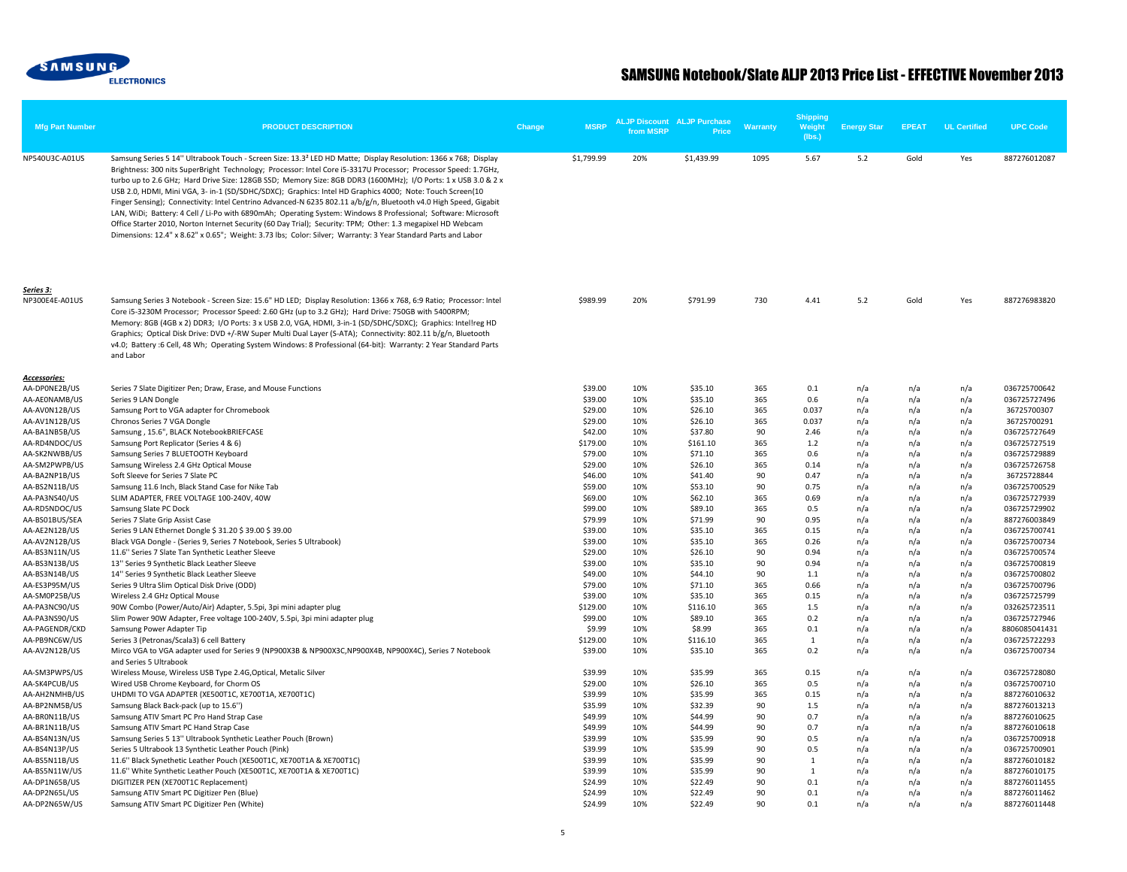

| <b>Mfg Part Number</b>          | <b>PRODUCT DESCRIPTION</b>                                                                                                                                                                                                                                                                                                                                                                                                                                                                                                                                                                                                                                                                                                                                                                                                                                                                                                                         | Change | <b>MSRP</b>        | <b>ALJP Discount ALJP Purchase</b><br>from MSRP | Price              | <b>Warranty</b> | <b>Shipping</b><br>Weight<br>(lbs.) | <b>Energy Star</b> | <b>EPEAT</b> | <b>UL Certified</b> | <b>UPC Code</b>               |
|---------------------------------|----------------------------------------------------------------------------------------------------------------------------------------------------------------------------------------------------------------------------------------------------------------------------------------------------------------------------------------------------------------------------------------------------------------------------------------------------------------------------------------------------------------------------------------------------------------------------------------------------------------------------------------------------------------------------------------------------------------------------------------------------------------------------------------------------------------------------------------------------------------------------------------------------------------------------------------------------|--------|--------------------|-------------------------------------------------|--------------------|-----------------|-------------------------------------|--------------------|--------------|---------------------|-------------------------------|
| NP540U3C-A01US                  | Samsung Series 5 14" Ultrabook Touch - Screen Size: 13.3 <sup>2</sup> LED HD Matte; Display Resolution: 1366 x 768; Display<br>Brightness: 300 nits SuperBright Technology; Processor: Intel Core i5-3317U Processor; Processor Speed: 1.7GHz,<br>turbo up to 2.6 GHz; Hard Drive Size: 128GB SSD; Memory Size: 8GB DDR3 (1600MHz); I/O Ports: 1 x USB 3.0 & 2 x<br>USB 2.0, HDMI, Mini VGA, 3- in-1 (SD/SDHC/SDXC); Graphics: Intel HD Graphics 4000; Note: Touch Screen(10<br>Finger Sensing); Connectivity: Intel Centrino Advanced-N 6235 802.11 a/b/g/n, Bluetooth v4.0 High Speed, Gigabit<br>LAN, WiDi; Battery: 4 Cell / Li-Po with 6890mAh; Operating System: Windows 8 Professional; Software: Microsoft<br>Office Starter 2010, Norton Internet Security (60 Day Trial); Security: TPM; Other: 1.3 megapixel HD Webcam<br>Dimensions: 12.4" x 8.62" x 0.65"; Weight: 3.73 lbs; Color: Silver; Warranty: 3 Year Standard Parts and Labor |        | \$1,799.99         | 20%                                             | \$1,439.99         | 1095            | 5.67                                | 5.2                | Gold         | Yes                 | 887276012087                  |
| Series 3:<br>NP300E4E-A01US     | Samsung Series 3 Notebook - Screen Size: 15.6" HD LED; Display Resolution: 1366 x 768, 6:9 Ratio; Processor: Intel<br>Core i5-3230M Processor; Processor Speed: 2.60 GHz (up to 3.2 GHz); Hard Drive: 750GB with 5400RPM;<br>Memory: 8GB (4GB x 2) DDR3; I/O Ports: 3 x USB 2.0, VGA, HDMI, 3-in-1 (SD/SDHC/SDXC); Graphics: Intellreg HD<br>Graphics; Optical Disk Drive: DVD +/-RW Super Multi Dual Layer (S-ATA); Connectivity: 802.11 b/g/n, Bluetooth<br>v4.0; Battery :6 Cell, 48 Wh; Operating System Windows: 8 Professional (64-bit): Warranty: 2 Year Standard Parts<br>and Labor                                                                                                                                                                                                                                                                                                                                                        |        | \$989.99           | 20%                                             | \$791.99           | 730             | 4.41                                | 5.2                | Gold         | Yes                 | 887276983820                  |
| Accessories:<br>AA-DPONE2B/US   | Series 7 Slate Digitizer Pen; Draw, Erase, and Mouse Functions                                                                                                                                                                                                                                                                                                                                                                                                                                                                                                                                                                                                                                                                                                                                                                                                                                                                                     |        | \$39.00            | 10%                                             | \$35.10            | 365             | 0.1                                 |                    | n/a          |                     | 036725700642                  |
| AA-AE0NAMB/US                   | Series 9 LAN Dongle                                                                                                                                                                                                                                                                                                                                                                                                                                                                                                                                                                                                                                                                                                                                                                                                                                                                                                                                |        | \$39.00            | 10%                                             | \$35.10            | 365             | 0.6                                 | n/a<br>n/a         | n/a          | n/a<br>n/a          | 036725727496                  |
| AA-AV0N12B/US                   | Samsung Port to VGA adapter for Chromebook                                                                                                                                                                                                                                                                                                                                                                                                                                                                                                                                                                                                                                                                                                                                                                                                                                                                                                         |        | \$29.00            | 10%                                             | \$26.10            | 365             | 0.037                               | n/a                | n/a          | n/a                 | 36725700307                   |
| AA-AV1N12B/US                   | Chronos Series 7 VGA Dongle                                                                                                                                                                                                                                                                                                                                                                                                                                                                                                                                                                                                                                                                                                                                                                                                                                                                                                                        |        | \$29.00            | 10%                                             | \$26.10            | 365             | 0.037                               | n/a                | n/a          | n/a                 | 36725700291                   |
| AA-BA1NB5B/US                   | Samsung, 15.6", BLACK NotebookBRIEFCASE                                                                                                                                                                                                                                                                                                                                                                                                                                                                                                                                                                                                                                                                                                                                                                                                                                                                                                            |        | \$42.00            | 10%                                             | \$37.80            | 90              | 2.46                                | n/a                | n/a          | n/a                 | 036725727649                  |
| AA-RD4NDOC/US                   | Samsung Port Replicator (Series 4 & 6)                                                                                                                                                                                                                                                                                                                                                                                                                                                                                                                                                                                                                                                                                                                                                                                                                                                                                                             |        | \$179.00           | 10%                                             | \$161.10           | 365             | 1.2                                 | n/a                | n/a          | n/a                 | 036725727519                  |
| AA-SK2NWBB/US                   | Samsung Series 7 BLUETOOTH Keyboard                                                                                                                                                                                                                                                                                                                                                                                                                                                                                                                                                                                                                                                                                                                                                                                                                                                                                                                |        | \$79.00            | 10%                                             | \$71.10            | 365             | 0.6                                 | n/a                | n/a          | n/a                 | 036725729889                  |
| AA-SM2PWPB/US                   | Samsung Wireless 2.4 GHz Optical Mouse                                                                                                                                                                                                                                                                                                                                                                                                                                                                                                                                                                                                                                                                                                                                                                                                                                                                                                             |        | \$29.00            | 10%                                             | \$26.10            | 365             | 0.14                                | n/a                | n/a          | n/a                 | 036725726758                  |
| AA-BA2NP1B/US                   | Soft Sleeve for Series 7 Slate PC                                                                                                                                                                                                                                                                                                                                                                                                                                                                                                                                                                                                                                                                                                                                                                                                                                                                                                                  |        | \$46.00            | 10%                                             | \$41.40            | 90              | 0.47                                | n/a                | n/a          | n/a                 | 36725728844                   |
| AA-BS2N11B/US                   | Samsung 11.6 Inch, Black Stand Case for Nike Tab                                                                                                                                                                                                                                                                                                                                                                                                                                                                                                                                                                                                                                                                                                                                                                                                                                                                                                   |        | \$59.00            | 10%                                             | \$53.10            | 90              | 0.75                                | n/a                | n/a          | n/a                 | 036725700529                  |
| AA-PA3NS40/US                   | SLIM ADAPTER, FREE VOLTAGE 100-240V, 40W                                                                                                                                                                                                                                                                                                                                                                                                                                                                                                                                                                                                                                                                                                                                                                                                                                                                                                           |        | \$69.00            | 10%                                             | \$62.10            | 365             | 0.69                                | n/a                | n/a          | n/a                 | 036725727939                  |
| AA-RD5NDOC/US                   | Samsung Slate PC Dock                                                                                                                                                                                                                                                                                                                                                                                                                                                                                                                                                                                                                                                                                                                                                                                                                                                                                                                              |        | \$99.00            | 10%                                             | \$89.10            | 365             | 0.5                                 | n/a                | n/a          | n/a                 | 036725729902                  |
| AA-BS01BUS/SEA<br>AA-AE2N12B/US | Series 7 Slate Grip Assist Case<br>Series 9 LAN Ethernet Dongle \$ 31.20 \$ 39.00 \$ 39.00                                                                                                                                                                                                                                                                                                                                                                                                                                                                                                                                                                                                                                                                                                                                                                                                                                                         |        | \$79.99<br>\$39.00 | 10%<br>10%                                      | \$71.99<br>\$35.10 | 90<br>365       | 0.95<br>0.15                        | n/a<br>n/a         | n/a<br>n/a   | n/a<br>n/a          | 887276003849<br>036725700741  |
| AA-AV2N12B/US                   | Black VGA Dongle - (Series 9, Series 7 Notebook, Series 5 Ultrabook)                                                                                                                                                                                                                                                                                                                                                                                                                                                                                                                                                                                                                                                                                                                                                                                                                                                                               |        | \$39.00            | 10%                                             | \$35.10            | 365             | 0.26                                | n/a                | n/a          | n/a                 | 036725700734                  |
| AA-BS3N11N/US                   | 11.6" Series 7 Slate Tan Synthetic Leather Sleeve                                                                                                                                                                                                                                                                                                                                                                                                                                                                                                                                                                                                                                                                                                                                                                                                                                                                                                  |        | \$29.00            | 10%                                             | \$26.10            | 90              | 0.94                                | n/a                | n/a          | n/a                 | 036725700574                  |
| AA-BS3N13B/US                   | 13" Series 9 Synthetic Black Leather Sleeve                                                                                                                                                                                                                                                                                                                                                                                                                                                                                                                                                                                                                                                                                                                                                                                                                                                                                                        |        | \$39.00            | 10%                                             | \$35.10            | 90              | 0.94                                | n/a                | n/a          | n/a                 | 036725700819                  |
| AA-BS3N14B/US                   | 14" Series 9 Synthetic Black Leather Sleeve                                                                                                                                                                                                                                                                                                                                                                                                                                                                                                                                                                                                                                                                                                                                                                                                                                                                                                        |        | \$49.00            | 10%                                             | \$44.10            | 90              | 1.1                                 | n/a                | n/a          | n/a                 | 036725700802                  |
| AA-ES3P95M/US                   | Series 9 Ultra Slim Optical Disk Drive (ODD)                                                                                                                                                                                                                                                                                                                                                                                                                                                                                                                                                                                                                                                                                                                                                                                                                                                                                                       |        | \$79.00            | 10%                                             | \$71.10            | 365             | 0.66                                | n/a                | n/a          | n/a                 | 036725700796                  |
| AA-SM0P25B/US                   | Wireless 2.4 GHz Optical Mouse                                                                                                                                                                                                                                                                                                                                                                                                                                                                                                                                                                                                                                                                                                                                                                                                                                                                                                                     |        | \$39.00            | 10%                                             | \$35.10            | 365             | 0.15                                | n/a                | n/a          | n/a                 | 036725725799                  |
| AA-PA3NC90/US                   | 90W Combo (Power/Auto/Air) Adapter, 5.5pi, 3pi mini adapter plug                                                                                                                                                                                                                                                                                                                                                                                                                                                                                                                                                                                                                                                                                                                                                                                                                                                                                   |        | \$129.00           | 10%                                             | \$116.10           | 365             | $1.5\,$                             | n/a                | n/a          | n/a                 | 032625723511                  |
| AA-PA3NS90/US                   | Slim Power 90W Adapter, Free voltage 100-240V, 5.5pi, 3pi mini adapter plug                                                                                                                                                                                                                                                                                                                                                                                                                                                                                                                                                                                                                                                                                                                                                                                                                                                                        |        | \$99.00            | 10%                                             | \$89.10            | 365<br>365      | 0.2                                 | n/a                | n/a          | n/a                 | 036725727946                  |
| AA-PAGENDR/CKD<br>AA-PB9NC6W/US | Samsung Power Adapter Tip<br>Series 3 (Petronas/Scala3) 6 cell Battery                                                                                                                                                                                                                                                                                                                                                                                                                                                                                                                                                                                                                                                                                                                                                                                                                                                                             |        | \$9.99<br>\$129.00 | 10%<br>10%                                      | \$8.99<br>\$116.10 | 365             | 0.1<br>1                            | n/a<br>n/a         | n/a<br>n/a   | n/a<br>n/a          | 8806085041431<br>036725722293 |
| AA-AV2N12B/US                   | Mirco VGA to VGA adapter used for Series 9 (NP900X3B & NP900X3C, NP900X4B, NP900X4C), Series 7 Notebook                                                                                                                                                                                                                                                                                                                                                                                                                                                                                                                                                                                                                                                                                                                                                                                                                                            |        | \$39.00            | 10%                                             | \$35.10            | 365             | 0.2                                 | n/a                | n/a          | n/a                 | 036725700734                  |
|                                 | and Series 5 Ultrabook                                                                                                                                                                                                                                                                                                                                                                                                                                                                                                                                                                                                                                                                                                                                                                                                                                                                                                                             |        |                    |                                                 |                    |                 |                                     |                    |              |                     |                               |
| AA-SM3PWPS/US                   | Wireless Mouse, Wireless USB Type 2.4G, Optical, Metalic Silver                                                                                                                                                                                                                                                                                                                                                                                                                                                                                                                                                                                                                                                                                                                                                                                                                                                                                    |        | \$39.99            | 10%                                             | \$35.99            | 365             | 0.15                                | n/a                | n/a          | n/a                 | 036725728080                  |
| AA-SK4PCUB/US                   | Wired USB Chrome Keyboard, for Chorm OS                                                                                                                                                                                                                                                                                                                                                                                                                                                                                                                                                                                                                                                                                                                                                                                                                                                                                                            |        | \$29.00            | 10%                                             | \$26.10            | 365             | 0.5                                 | n/a                | n/a          | n/a                 | 036725700710                  |
| AA-AH2NMHB/US                   | UHDMI TO VGA ADAPTER (XE500T1C, XE700T1A, XE700T1C)                                                                                                                                                                                                                                                                                                                                                                                                                                                                                                                                                                                                                                                                                                                                                                                                                                                                                                |        | \$39.99            | 10%                                             | \$35.99            | 365             | 0.15                                | n/a                | n/a          | n/a                 | 887276010632                  |
| AA-BP2NM5B/US                   | Samsung Black Back-pack (up to 15.6")                                                                                                                                                                                                                                                                                                                                                                                                                                                                                                                                                                                                                                                                                                                                                                                                                                                                                                              |        | \$35.99            | 10%<br>10%                                      | \$32.39            | 90<br>90        | 1.5<br>0.7                          | n/a                | n/a          | n/a                 | 887276013213                  |
| AA-BRON11B/US<br>AA-BR1N11B/US  | Samsung ATIV Smart PC Pro Hand Strap Case<br>Samsung ATIV Smart PC Hand Strap Case                                                                                                                                                                                                                                                                                                                                                                                                                                                                                                                                                                                                                                                                                                                                                                                                                                                                 |        | \$49.99<br>\$49.99 | 10%                                             | \$44.99<br>\$44.99 | 90              | 0.7                                 | n/a<br>n/a         | n/a<br>n/a   | n/a<br>n/a          | 887276010625<br>887276010618  |
| AA-BS4N13N/US                   | Samsung Series 5 13" Ultrabook Synthetic Leather Pouch (Brown)                                                                                                                                                                                                                                                                                                                                                                                                                                                                                                                                                                                                                                                                                                                                                                                                                                                                                     |        | \$39.99            | 10%                                             | \$35.99            | 90              | 0.5                                 | n/a                | n/a          | n/a                 | 036725700918                  |
| AA-BS4N13P/US                   | Series 5 Ultrabook 13 Synthetic Leather Pouch (Pink)                                                                                                                                                                                                                                                                                                                                                                                                                                                                                                                                                                                                                                                                                                                                                                                                                                                                                               |        | \$39.99            | 10%                                             | \$35.99            | 90              | 0.5                                 | n/a                | n/a          | n/a                 | 036725700901                  |
| AA-BS5N11B/US                   | 11.6" Black Synethetic Leather Pouch (XE500T1C, XE700T1A & XE700T1C)                                                                                                                                                                                                                                                                                                                                                                                                                                                                                                                                                                                                                                                                                                                                                                                                                                                                               |        | \$39.99            | 10%                                             | \$35.99            | 90              | 1                                   | n/a                | n/a          | n/a                 | 887276010182                  |
| AA-BS5N11W/US                   | 11.6" White Synthetic Leather Pouch (XE500T1C, XE700T1A & XE700T1C)                                                                                                                                                                                                                                                                                                                                                                                                                                                                                                                                                                                                                                                                                                                                                                                                                                                                                |        | \$39.99            | 10%                                             | \$35.99            | 90              | $\overline{1}$                      | n/a                | n/a          | n/a                 | 887276010175                  |
| AA-DP1N65B/US                   | DIGITIZER PEN (XE700T1C Replacement)                                                                                                                                                                                                                                                                                                                                                                                                                                                                                                                                                                                                                                                                                                                                                                                                                                                                                                               |        | \$24.99            | 10%                                             | \$22.49            | 90              | 0.1                                 | n/a                | n/a          | n/a                 | 887276011455                  |
| AA-DP2N65L/US                   | Samsung ATIV Smart PC Digitizer Pen (Blue)                                                                                                                                                                                                                                                                                                                                                                                                                                                                                                                                                                                                                                                                                                                                                                                                                                                                                                         |        | \$24.99            | 10%                                             | \$22.49            | 90              | 0.1                                 | n/a                | n/a          | n/a                 | 887276011462                  |
| AA-DP2N65W/US                   | Samsung ATIV Smart PC Digitizer Pen (White)                                                                                                                                                                                                                                                                                                                                                                                                                                                                                                                                                                                                                                                                                                                                                                                                                                                                                                        |        | \$24.99            | 10%                                             | \$22.49            | 90              | 0.1                                 | n/a                | n/a          | n/a                 | 887276011448                  |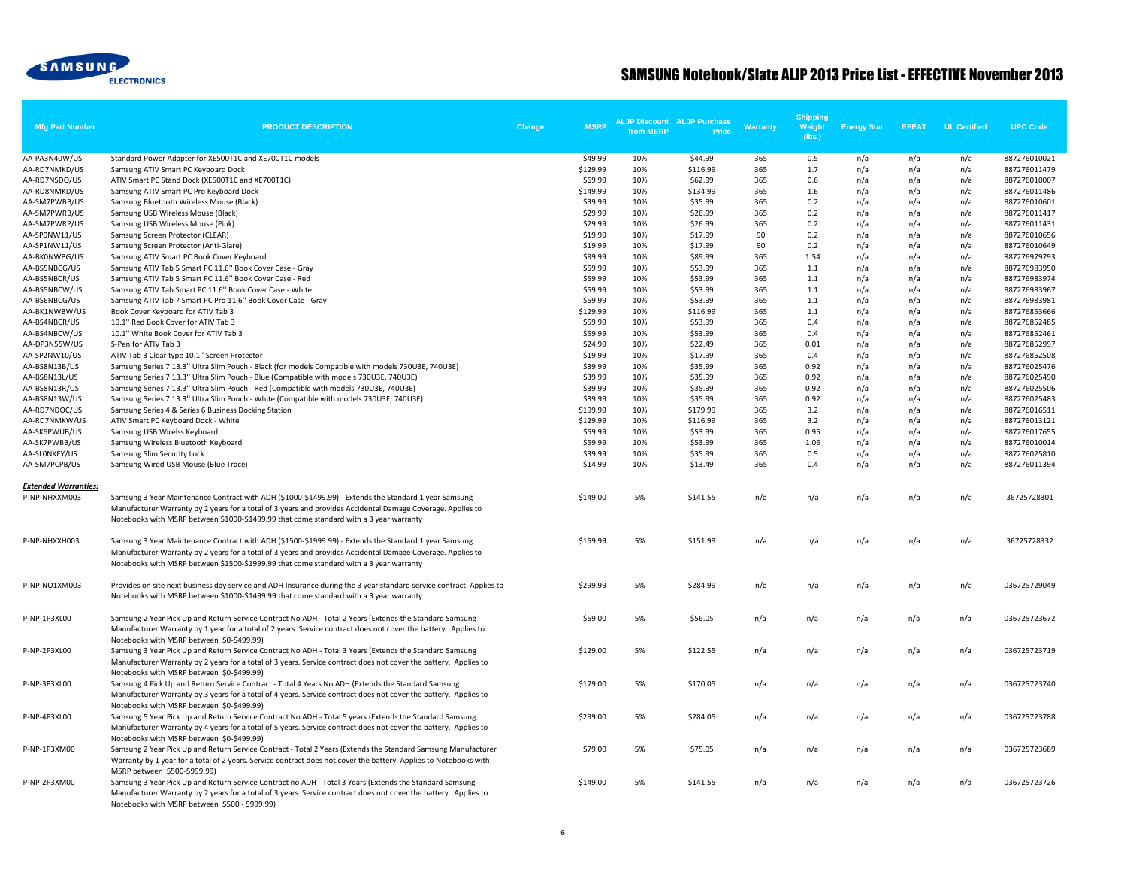

| <b>Mfg Part Number</b>                       | <b>PRODUCT DESCRIPTION</b>                                                                                                                                                                                                                                                                                     | Change | <b>MSRP</b>        | from MSRP  | <b>ALJP Discount ALJP Purchase</b><br>Price | Warranty   | <b>Shipping</b><br>Weight<br>(lbs.) | <b>Energy Star</b> | <b>EPEAT</b> | <b>UL Certified</b> | <b>UPC Code</b>              |
|----------------------------------------------|----------------------------------------------------------------------------------------------------------------------------------------------------------------------------------------------------------------------------------------------------------------------------------------------------------------|--------|--------------------|------------|---------------------------------------------|------------|-------------------------------------|--------------------|--------------|---------------------|------------------------------|
| AA-PA3N40W/US                                | Standard Power Adapter for XE500T1C and XE700T1C models                                                                                                                                                                                                                                                        |        | \$49.99            | 10%        | \$44.99                                     | 365        | 0.5                                 | n/a                | n/a          | n/a                 | 887276010021                 |
| AA-RD7NMKD/US                                | Samsung ATIV Smart PC Keyboard Dock                                                                                                                                                                                                                                                                            |        | \$129.99           | 10%        | \$116.99                                    | 365        | 1.7                                 | n/a                | n/a          | n/a                 | 887276011479                 |
| AA-RD7NSDO/US                                | ATIV Smart PC Stand Dock (XE500T1C and XE700T1C)                                                                                                                                                                                                                                                               |        | \$69.99            | 10%        | \$62.99                                     | 365        | 0.6                                 | n/a                | n/a          | n/a                 | 887276010007                 |
| AA-RD8NMKD/US                                | Samsung ATIV Smart PC Pro Keyboard Dock                                                                                                                                                                                                                                                                        |        | \$149.99           | 10%        | \$134.99                                    | 365        | 1.6                                 | n/a                | n/a          | n/a                 | 887276011486                 |
| AA-SM7PWBB/US                                | Samsung Bluetooth Wireless Mouse (Black)                                                                                                                                                                                                                                                                       |        | \$39.99            | 10%        | \$35.99                                     | 365        | 0.2                                 | n/a                | n/a          | n/a                 | 887276010601                 |
| AA-SM7PWRB/US                                | Samsung USB Wireless Mouse (Black)                                                                                                                                                                                                                                                                             |        | \$29.99            | 10%        | \$26.99                                     | 365        | 0.2                                 | n/a                | n/a          | n/a                 | 887276011417                 |
| AA-SM7PWRP/US                                | Samsung USB Wireless Mouse (Pink)                                                                                                                                                                                                                                                                              |        | \$29.99            | 10%        | \$26.99                                     | 365        | 0.2                                 | n/a                | n/a          | n/a                 | 887276011431                 |
| AA-SPONW11/US                                | Samsung Screen Protector (CLEAR)                                                                                                                                                                                                                                                                               |        | \$19.99            | 10%        | \$17.99                                     | 90         | 0.2                                 | n/a                | n/a          | n/a                 | 887276010656                 |
| AA-SP1NW11/US                                | Samsung Screen Protector (Anti-Glare)                                                                                                                                                                                                                                                                          |        | \$19.99            | 10%        | \$17.99                                     | 90         | 0.2                                 | n/a                | n/a          | n/a                 | 887276010649                 |
| AA-BKONWBG/US<br>AA-BS5NBCG/US               | Samsung ATIV Smart PC Book Cover Keyboard<br>Samsung ATIV Tab 5 Smart PC 11.6" Book Cover Case - Gray                                                                                                                                                                                                          |        | \$99.99<br>\$59.99 | 10%<br>10% | \$89.99<br>\$53.99                          | 365<br>365 | 1.54                                | n/a                | n/a          | n/a                 | 887276979793                 |
| AA-BS5NBCR/US                                | Samsung ATIV Tab 5 Smart PC 11.6" Book Cover Case - Red                                                                                                                                                                                                                                                        |        | \$59.99            | 10%        | \$53.99                                     | 365        | 1.1<br>1.1                          | n/a<br>n/a         | n/a<br>n/a   | n/a<br>n/a          | 887276983950<br>887276983974 |
| AA-BS5NBCW/US                                | Samsung ATIV Tab Smart PC 11.6" Book Cover Case - White                                                                                                                                                                                                                                                        |        | \$59.99            | 10%        | \$53.99                                     | 365        | 1.1                                 | n/a                | n/a          | n/a                 | 887276983967                 |
| AA-BS6NBCG/US                                | Samsung ATIV Tab 7 Smart PC Pro 11.6" Book Cover Case - Gray                                                                                                                                                                                                                                                   |        | \$59.99            | 10%        | \$53.99                                     | 365        | 1.1                                 | n/a                | n/a          | n/a                 | 887276983981                 |
| AA-BK1NWBW/US                                | Book Cover Keyboard for ATIV Tab 3                                                                                                                                                                                                                                                                             |        | \$129.99           | 10%        | \$116.99                                    | 365        | 1.1                                 | n/a                | n/a          | n/a                 | 887276853666                 |
| AA-BS4NBCR/US                                | 10.1" Red Book Cover for ATIV Tab 3                                                                                                                                                                                                                                                                            |        | \$59.99            | 10%        | \$53.99                                     | 365        | 0.4                                 | n/a                | n/a          | n/a                 | 887276852485                 |
| AA-BS4NBCW/US                                | 10.1" White Book Cover for ATIV Tab 3                                                                                                                                                                                                                                                                          |        | \$59.99            | 10%        | \$53.99                                     | 365        | 0.4                                 | n/a                | n/a          | n/a                 | 887276852461                 |
| AA-DP3N55W/US                                | S-Pen for ATIV Tab 3                                                                                                                                                                                                                                                                                           |        | \$24.99            | 10%        | \$22.49                                     | 365        | 0.01                                | n/a                | n/a          | n/a                 | 887276852997                 |
| AA-SP2NW10/US                                | ATIV Tab 3 Clear type 10.1" Screen Protector                                                                                                                                                                                                                                                                   |        | \$19.99            | 10%        | \$17.99                                     | 365        | 0.4                                 | n/a                | n/a          | n/a                 | 887276852508                 |
| AA-BS8N13B/US                                | Samsung Series 7 13.3" Ultra Slim Pouch - Black (for models Compatible with models 730U3E, 740U3E)                                                                                                                                                                                                             |        | \$39.99            | 10%        | \$35.99                                     | 365        | 0.92                                | n/a                | n/a          | n/a                 | 887276025476                 |
| AA-BS8N13L/US                                | Samsung Series 7 13.3" Ultra Slim Pouch - Blue (Compatible with models 730U3E, 740U3E)                                                                                                                                                                                                                         |        | \$39.99            | 10%        | \$35.99                                     | 365        | 0.92                                | n/a                | n/a          | n/a                 | 887276025490                 |
| AA-BS8N13R/US                                | Samsung Series 7 13.3" Ultra Slim Pouch - Red (Compatible with models 730U3E, 740U3E)                                                                                                                                                                                                                          |        | \$39.99            | 10%        | \$35.99                                     | 365        | 0.92                                | n/a                | n/a          | n/a                 | 887276025506                 |
| AA-BS8N13W/US                                | Samsung Series 7 13.3" Ultra Slim Pouch - White (Compatible with models 730U3E, 740U3E)                                                                                                                                                                                                                        |        | \$39.99            | 10%        | \$35.99                                     | 365        | 0.92                                | n/a                | n/a          | n/a                 | 887276025483                 |
| AA-RD7NDOC/US                                | Samsung Series 4 & Series 6 Business Docking Station                                                                                                                                                                                                                                                           |        | \$199.99           | 10%        | \$179.99                                    | 365        | 3.2                                 | n/a                | n/a          | n/a                 | 887276016511                 |
| AA-RD7NMKW/US                                | ATIV Smart PC Keyboard Dock - White                                                                                                                                                                                                                                                                            |        | \$129.99           | 10%        | \$116.99                                    | 365        | 3.2                                 | n/a                | n/a          | n/a                 | 887276013121                 |
| AA-SK6PWUB/US                                | Samsung USB Wirelss Keyboard                                                                                                                                                                                                                                                                                   |        | \$59.99            | 10%        | \$53.99                                     | 365        | 0.95                                | n/a                | n/a          | n/a                 | 887276017655                 |
| AA-SK7PWBB/US                                | Samsung Wireless Bluetooth Keyboard                                                                                                                                                                                                                                                                            |        | \$59.99            | 10%        | \$53.99                                     | 365        | 1.06                                | n/a                | n/a          | n/a                 | 887276010014                 |
| AA-SLONKEY/US                                | Samsung Slim Security Lock                                                                                                                                                                                                                                                                                     |        | \$39.99            | 10%        | \$35.99                                     | 365        | 0.5                                 | n/a                | n/a          | n/a                 | 887276025810                 |
| AA-SM7PCPB/US                                | Samsung Wired USB Mouse (Blue Trace)                                                                                                                                                                                                                                                                           |        | \$14.99            | 10%        | \$13.49                                     | 365        | 0.4                                 | n/a                | n/a          | n/a                 | 887276011394                 |
| <b>Extended Warranties:</b><br>P-NP-NHXXM003 | Samsung 3 Year Maintenance Contract with ADH (\$1000-\$1499.99) - Extends the Standard 1 year Samsung<br>Manufacturer Warranty by 2 years for a total of 3 years and provides Accidental Damage Coverage. Applies to<br>Notebooks with MSRP between \$1000-\$1499.99 that come standard with a 3 year warranty |        | \$149.00           | 5%         | \$141.55                                    | n/a        | n/a                                 | n/a                | n/a          | n/a                 | 36725728301                  |
| P-NP-NHXXH003                                | Samsung 3 Year Maintenance Contract with ADH (\$1500-\$1999.99) - Extends the Standard 1 year Samsung<br>Manufacturer Warranty by 2 years for a total of 3 years and provides Accidental Damage Coverage. Applies to<br>Notebooks with MSRP between \$1500-\$1999.99 that come standard with a 3 year warranty |        | \$159.99           | 5%         | \$151.99                                    | n/a        | n/a                                 | n/a                | n/a          | n/a                 | 36725728332                  |
| P-NP-NO1XM003                                | Provides on site next business day service and ADH Insurance during the 3 year standard service contract. Applies to<br>Notebooks with MSRP between \$1000-\$1499.99 that come standard with a 3 year warranty                                                                                                 |        | \$299.99           | 5%         | \$284.99                                    | n/a        | n/a                                 | n/a                | n/a          | n/a                 | 036725729049                 |
| P-NP-1P3XL00                                 | Samsung 2 Year Pick Up and Return Service Contract No ADH - Total 2 Years (Extends the Standard Samsung<br>Manufacturer Warranty by 1 year for a total of 2 years. Service contract does not cover the battery. Applies to<br>Notebooks with MSRP between \$0-\$499.99)                                        |        | \$59.00            | 5%         | \$56.05                                     | n/a        | n/a                                 | n/a                | n/a          | n/a                 | 036725723672                 |
| P-NP-2P3XL00                                 | Samsung 3 Year Pick Up and Return Service Contract No ADH - Total 3 Years (Extends the Standard Samsung<br>Manufacturer Warranty by 2 years for a total of 3 years. Service contract does not cover the battery. Applies to<br>Notebooks with MSRP between \$0-\$499.99)                                       |        | \$129.00           | 5%         | \$122.55                                    | n/a        | n/a                                 | n/a                | n/a          | n/a                 | 036725723719                 |
| P-NP-3P3XL00                                 | Samsung 4 Pick Up and Return Service Contract - Total 4 Years No ADH (Extends the Standard Samsung<br>Manufacturer Warranty by 3 years for a total of 4 years. Service contract does not cover the battery. Applies to<br>Notebooks with MSRP between \$0-\$499.99)                                            |        | \$179.00           | 5%         | \$170.05                                    | n/a        | n/a                                 | n/a                | n/a          | n/a                 | 036725723740                 |
| P-NP-4P3XL00                                 | Samsung 5 Year Pick Up and Return Service Contract No ADH - Total 5 years (Extends the Standard Samsung<br>Manufacturer Warranty by 4 years for a total of 5 years. Service contract does not cover the battery. Applies to<br>Notebooks with MSRP between \$0-\$499.99)                                       |        | \$299.00           | 5%         | \$284.05                                    | n/a        | n/a                                 | n/a                | n/a          | n/a                 | 036725723788                 |
| P-NP-1P3XM00                                 | Samsung 2 Year Pick Up and Return Service Contract - Total 2 Years (Extends the Standard Samsung Manufacturer<br>Warranty by 1 year for a total of 2 years. Service contract does not cover the battery. Applies to Notebooks with<br>MSRP between \$500-\$999.99)                                             |        | \$79.00            | 5%         | \$75.05                                     | n/a        | n/a                                 | n/a                | n/a          | n/a                 | 036725723689                 |
| P-NP-2P3XM00                                 | Samsung 3 Year Pick Up and Return Service Contract no ADH - Total 3 Years (Extends the Standard Samsung<br>Manufacturer Warranty by 2 years for a total of 3 years. Service contract does not cover the battery. Applies to<br>Notebooks with MSRP between \$500 - \$999.99)                                   |        | \$149.00           | 5%         | \$141.55                                    | n/a        | n/a                                 | n/a                | n/a          | n/a                 | 036725723726                 |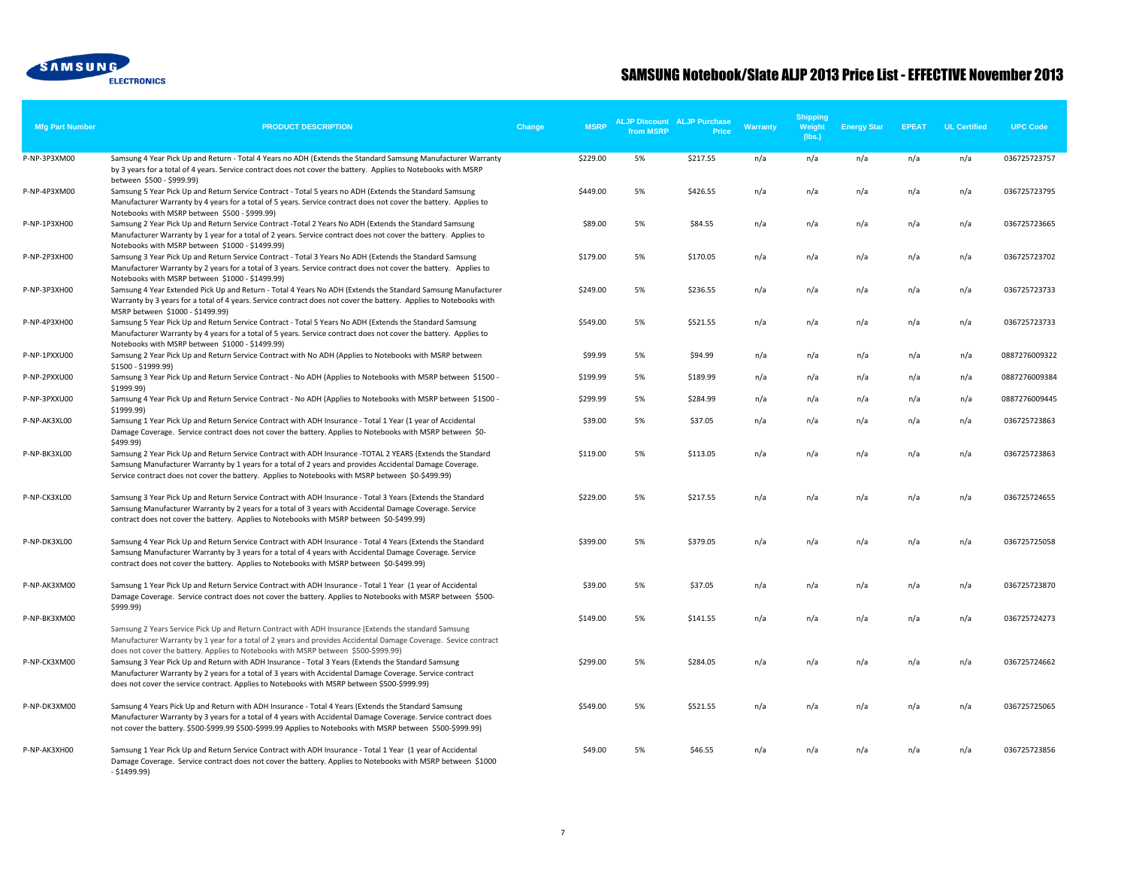

| <b>Mfg Part Number</b> | <b>PRODUCT DESCRIPTION</b>                                                                                                                                                                                                                                                                                                                                                                           | Change | <b>MSRP</b> | from MSRP | <b>ALJP Discount ALJP Purchase</b><br>Price | Warranty | <b>Shipping</b><br>Weight<br>(lbs.) | <b>Energy Star</b> | <b>EPEAT</b> | <b>UL Certified</b> | <b>UPC Code</b> |
|------------------------|------------------------------------------------------------------------------------------------------------------------------------------------------------------------------------------------------------------------------------------------------------------------------------------------------------------------------------------------------------------------------------------------------|--------|-------------|-----------|---------------------------------------------|----------|-------------------------------------|--------------------|--------------|---------------------|-----------------|
| P-NP-3P3XM00           | Samsung 4 Year Pick Up and Return - Total 4 Years no ADH (Extends the Standard Samsung Manufacturer Warranty<br>by 3 years for a total of 4 years. Service contract does not cover the battery. Applies to Notebooks with MSRP                                                                                                                                                                       |        | \$229.00    | 5%        | \$217.55                                    | n/a      | n/a                                 | n/a                | n/a          | n/a                 | 036725723757    |
| P-NP-4P3XM00           | between \$500 - \$999.99)<br>Samsung 5 Year Pick Up and Return Service Contract - Total 5 years no ADH (Extends the Standard Samsung<br>Manufacturer Warranty by 4 years for a total of 5 years. Service contract does not cover the battery. Applies to                                                                                                                                             |        | \$449.00    | 5%        | \$426.55                                    | n/a      | n/a                                 | n/a                | n/a          | n/a                 | 036725723795    |
| P-NP-1P3XH00           | Notebooks with MSRP between \$500 - \$999.99)<br>Samsung 2 Year Pick Up and Return Service Contract -Total 2 Years No ADH (Extends the Standard Samsung<br>Manufacturer Warranty by 1 year for a total of 2 years. Service contract does not cover the battery. Applies to                                                                                                                           |        | \$89.00     | 5%        | \$84.55                                     | n/a      | n/a                                 | n/a                | n/a          | n/a                 | 036725723665    |
| P-NP-2P3XH00           | Notebooks with MSRP between \$1000 - \$1499.99)<br>Samsung 3 Year Pick Up and Return Service Contract - Total 3 Years No ADH (Extends the Standard Samsung<br>Manufacturer Warranty by 2 years for a total of 3 years. Service contract does not cover the battery. Applies to                                                                                                                       |        | \$179.00    | 5%        | \$170.05                                    | n/a      | n/a                                 | n/a                | n/a          | n/a                 | 036725723702    |
| P-NP-3P3XH00           | Notebooks with MSRP between \$1000 - \$1499.99)<br>Samsung 4 Year Extended Pick Up and Return - Total 4 Years No ADH (Extends the Standard Samsung Manufacturer<br>Warranty by 3 years for a total of 4 years. Service contract does not cover the battery. Applies to Notebooks with                                                                                                                |        | \$249.00    | 5%        | \$236.55                                    | n/a      | n/a                                 | n/a                | n/a          | n/a                 | 036725723733    |
| P-NP-4P3XH00           | MSRP between \$1000 - \$1499.99)<br>Samsung 5 Year Pick Up and Return Service Contract - Total 5 Years No ADH (Extends the Standard Samsung<br>Manufacturer Warranty by 4 years for a total of 5 years. Service contract does not cover the battery. Applies to                                                                                                                                      |        | \$549.00    | 5%        | \$521.55                                    | n/a      | n/a                                 | n/a                | n/a          | n/a                 | 036725723733    |
| P-NP-1PXXU00           | Notebooks with MSRP between \$1000 - \$1499.99)<br>Samsung 2 Year Pick Up and Return Service Contract with No ADH (Applies to Notebooks with MSRP between<br>\$1500 - \$1999.99)                                                                                                                                                                                                                     |        | \$99.99     | 5%        | \$94.99                                     | n/a      | n/a                                 | n/a                | n/a          | n/a                 | 0887276009322   |
| P-NP-2PXXU00           | Samsung 3 Year Pick Up and Return Service Contract - No ADH (Applies to Notebooks with MSRP between \$1500 -<br>\$1999.99)                                                                                                                                                                                                                                                                           |        | \$199.99    | 5%        | \$189.99                                    | n/a      | n/a                                 | n/a                | n/a          | n/a                 | 0887276009384   |
| P-NP-3PXXU00           | Samsung 4 Year Pick Up and Return Service Contract - No ADH (Applies to Notebooks with MSRP between \$1500 -<br>\$1999.99)                                                                                                                                                                                                                                                                           |        | \$299.99    | 5%        | \$284.99                                    | n/a      | n/a                                 | n/a                | n/a          | n/a                 | 0887276009445   |
| P-NP-AK3XL00           | Samsung 1 Year Pick Up and Return Service Contract with ADH Insurance - Total 1 Year (1 year of Accidental<br>Damage Coverage. Service contract does not cover the battery. Applies to Notebooks with MSRP between \$0-<br>\$499.99)                                                                                                                                                                 |        | \$39.00     | 5%        | \$37.05                                     | n/a      | n/a                                 | n/a                | n/a          | n/a                 | 036725723863    |
| P-NP-BK3XL00           | Samsung 2 Year Pick Up and Return Service Contract with ADH Insurance -TOTAL 2 YEARS (Extends the Standard<br>Samsung Manufacturer Warranty by 1 years for a total of 2 years and provides Accidental Damage Coverage.<br>Service contract does not cover the battery. Applies to Notebooks with MSRP between \$0-\$499.99)                                                                          |        | \$119.00    | 5%        | \$113.05                                    | n/a      | n/a                                 | n/a                | n/a          | n/a                 | 036725723863    |
| P-NP-CK3XL00           | Samsung 3 Year Pick Up and Return Service Contract with ADH Insurance - Total 3 Years (Extends the Standard<br>Samsung Manufacturer Warranty by 2 years for a total of 3 years with Accidental Damage Coverage. Service<br>contract does not cover the battery. Applies to Notebooks with MSRP between \$0-\$499.99)                                                                                 |        | \$229.00    | 5%        | \$217.55                                    | n/a      | n/a                                 | n/a                | n/a          | n/a                 | 036725724655    |
| P-NP-DK3XL00           | Samsung 4 Year Pick Up and Return Service Contract with ADH Insurance - Total 4 Years (Extends the Standard<br>Samsung Manufacturer Warranty by 3 years for a total of 4 years with Accidental Damage Coverage. Service<br>contract does not cover the battery. Applies to Notebooks with MSRP between \$0-\$499.99)                                                                                 |        | \$399.00    | 5%        | \$379.05                                    | n/a      | n/a                                 | n/a                | n/a          | n/a                 | 036725725058    |
| P-NP-AK3XM00           | Samsung 1 Year Pick Up and Return Service Contract with ADH Insurance - Total 1 Year (1 year of Accidental<br>Damage Coverage. Service contract does not cover the battery. Applies to Notebooks with MSRP between \$500-                                                                                                                                                                            |        | \$39.00     | 5%        | \$37.05                                     | n/a      | n/a                                 | n/a                | n/a          | n/a                 | 036725723870    |
| P-NP-BK3XM00           | \$999.99)<br>Samsung 2 Years Service Pick Up and Return Contract with ADH Insurance (Extends the standard Samsung<br>Manufacturer Warranty by 1 year for a total of 2 years and provides Accidental Damage Coverage. Sevice contract                                                                                                                                                                 |        | \$149.00    | 5%        | \$141.55                                    | n/a      | n/a                                 | n/a                | n/a          | n/a                 | 036725724273    |
| P-NP-CK3XM00           | does not cover the battery. Applies to Notebooks with MSRP between \$500-\$999.99)<br>Samsung 3 Year Pick Up and Return with ADH Insurance - Total 3 Years (Extends the Standard Samsung<br>Manufacturer Warranty by 2 years for a total of 3 years with Accidental Damage Coverage. Service contract<br>does not cover the service contract. Applies to Notebooks with MSRP between \$500-\$999.99) |        | \$299.00    | 5%        | \$284.05                                    | n/a      | n/a                                 | n/a                | n/a          | n/a                 | 036725724662    |
| P-NP-DK3XM00           | Samsung 4 Years Pick Up and Return with ADH Insurance - Total 4 Years (Extends the Standard Samsung<br>Manufacturer Warranty by 3 years for a total of 4 years with Accidental Damage Coverage. Service contract does<br>not cover the battery. \$500-\$999.99 \$500-\$999.99 Applies to Notebooks with MSRP between \$500-\$999.99)                                                                 |        | \$549.00    | 5%        | \$521.55                                    | n/a      | n/a                                 | n/a                | n/a          | n/a                 | 036725725065    |
| P-NP-AK3XH00           | Samsung 1 Year Pick Up and Return Service Contract with ADH Insurance - Total 1 Year (1 year of Accidental<br>Damage Coverage. Service contract does not cover the battery. Applies to Notebooks with MSRP between \$1000<br>$- $1499.99$                                                                                                                                                            |        | \$49.00     | 5%        | \$46.55                                     | n/a      | n/a                                 | n/a                | n/a          | n/a                 | 036725723856    |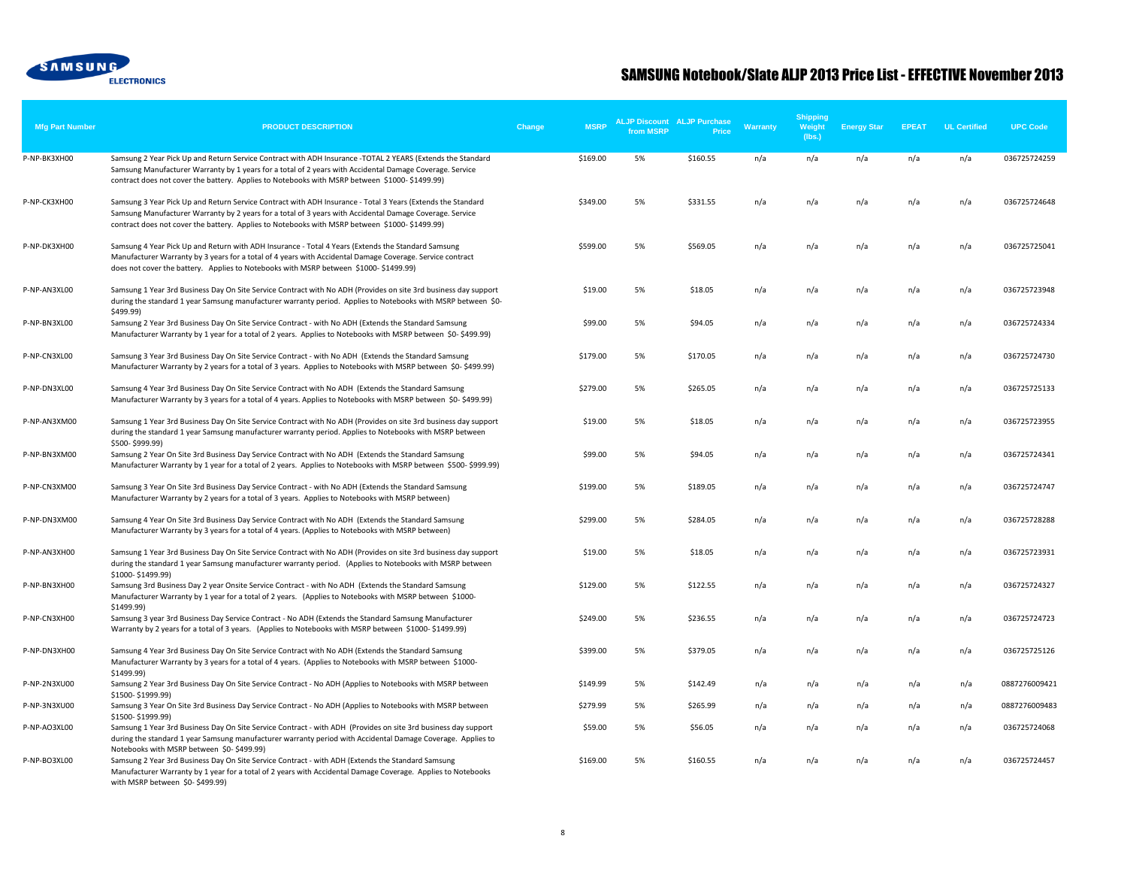

| <b>Mfg Part Number</b> | <b>PRODUCT DESCRIPTION</b>                                                                                                                                                                                                                                                                                               | Change | <b>MSRP</b> | from MSRP | <b>ALJP Discount ALJP Purchase</b><br><b>Price</b> | <b>Warranty</b> | <b>Shipping</b><br>Weight<br>(lbs.) | <b>Energy Star</b> | <b>EPEAT</b> | <b>UL Certified</b> | <b>UPC Code</b> |
|------------------------|--------------------------------------------------------------------------------------------------------------------------------------------------------------------------------------------------------------------------------------------------------------------------------------------------------------------------|--------|-------------|-----------|----------------------------------------------------|-----------------|-------------------------------------|--------------------|--------------|---------------------|-----------------|
| P-NP-BK3XH00           | Samsung 2 Year Pick Up and Return Service Contract with ADH Insurance -TOTAL 2 YEARS (Extends the Standard<br>Samsung Manufacturer Warranty by 1 years for a total of 2 years with Accidental Damage Coverage. Service<br>contract does not cover the battery. Applies to Notebooks with MSRP between \$1000-\$1499.99)  |        | \$169.00    | 5%        | \$160.55                                           | n/a             | n/a                                 | n/a                | n/a          | n/a                 | 036725724259    |
| P-NP-CK3XH00           | Samsung 3 Year Pick Up and Return Service Contract with ADH Insurance - Total 3 Years (Extends the Standard<br>Samsung Manufacturer Warranty by 2 years for a total of 3 years with Accidental Damage Coverage. Service<br>contract does not cover the battery. Applies to Notebooks with MSRP between \$1000-\$1499.99) |        | \$349.00    | 5%        | \$331.55                                           | n/a             | n/a                                 | n/a                | n/a          | n/a                 | 036725724648    |
| P-NP-DK3XH00           | Samsung 4 Year Pick Up and Return with ADH Insurance - Total 4 Years (Extends the Standard Samsung<br>Manufacturer Warranty by 3 years for a total of 4 years with Accidental Damage Coverage. Service contract<br>does not cover the battery. Applies to Notebooks with MSRP between \$1000-\$1499.99)                  |        | \$599.00    | 5%        | \$569.05                                           | n/a             | n/a                                 | n/a                | n/a          | n/a                 | 036725725041    |
| P-NP-AN3XL00           | Samsung 1 Year 3rd Business Day On Site Service Contract with No ADH (Provides on site 3rd business day support<br>during the standard 1 year Samsung manufacturer warranty period. Applies to Notebooks with MSRP between \$0-<br>\$499.99)                                                                             |        | \$19.00     | 5%        | \$18.05                                            | n/a             | n/a                                 | n/a                | n/a          | n/a                 | 036725723948    |
| P-NP-BN3XL00           | Samsung 2 Year 3rd Business Day On Site Service Contract - with No ADH (Extends the Standard Samsung<br>Manufacturer Warranty by 1 year for a total of 2 years. Applies to Notebooks with MSRP between \$0-\$499.99)                                                                                                     |        | \$99.00     | 5%        | \$94.05                                            | n/a             | n/a                                 | n/a                | n/a          | n/a                 | 036725724334    |
| P-NP-CN3XL00           | Samsung 3 Year 3rd Business Day On Site Service Contract - with No ADH (Extends the Standard Samsung<br>Manufacturer Warranty by 2 years for a total of 3 years. Applies to Notebooks with MSRP between \$0-\$499.99)                                                                                                    |        | \$179.00    | 5%        | \$170.05                                           | n/a             | n/a                                 | n/a                | n/a          | n/a                 | 036725724730    |
| P-NP-DN3XL00           | Samsung 4 Year 3rd Business Day On Site Service Contract with No ADH (Extends the Standard Samsung<br>Manufacturer Warranty by 3 years for a total of 4 years. Applies to Notebooks with MSRP between \$0-\$499.99)                                                                                                      |        | \$279.00    | 5%        | \$265.05                                           | n/a             | n/a                                 | n/a                | n/a          | n/a                 | 036725725133    |
| P-NP-AN3XM00           | Samsung 1 Year 3rd Business Day On Site Service Contract with No ADH (Provides on site 3rd business day support<br>during the standard 1 year Samsung manufacturer warranty period. Applies to Notebooks with MSRP between                                                                                               |        | \$19.00     | 5%        | \$18.05                                            | n/a             | n/a                                 | n/a                | n/a          | n/a                 | 036725723955    |
| P-NP-BN3XM00           | \$500-\$999.99)<br>Samsung 2 Year On Site 3rd Business Day Service Contract with No ADH (Extends the Standard Samsung<br>Manufacturer Warranty by 1 year for a total of 2 years. Applies to Notebooks with MSRP between \$500-\$999.99)                                                                                  |        | \$99.00     | 5%        | \$94.05                                            | n/a             | n/a                                 | n/a                | n/a          | n/a                 | 036725724341    |
| P-NP-CN3XM00           | Samsung 3 Year On Site 3rd Business Day Service Contract - with No ADH (Extends the Standard Samsung<br>Manufacturer Warranty by 2 years for a total of 3 years. Applies to Notebooks with MSRP between)                                                                                                                 |        | \$199.00    | 5%        | \$189.05                                           | n/a             | n/a                                 | n/a                | n/a          | n/a                 | 036725724747    |
| P-NP-DN3XM00           | Samsung 4 Year On Site 3rd Business Day Service Contract with No ADH (Extends the Standard Samsung<br>Manufacturer Warranty by 3 years for a total of 4 years. (Applies to Notebooks with MSRP between)                                                                                                                  |        | \$299.00    | 5%        | \$284.05                                           | n/a             | n/a                                 | n/a                | n/a          | n/a                 | 036725728288    |
| P-NP-AN3XH00           | Samsung 1 Year 3rd Business Day On Site Service Contract with No ADH (Provides on site 3rd business day support<br>during the standard 1 year Samsung manufacturer warranty period. (Applies to Notebooks with MSRP between                                                                                              |        | \$19.00     | 5%        | \$18.05                                            | n/a             | n/a                                 | n/a                | n/a          | n/a                 | 036725723931    |
| P-NP-BN3XH00           | \$1000-\$1499.99)<br>Samsung 3rd Business Day 2 year Onsite Service Contract - with No ADH (Extends the Standard Samsung<br>Manufacturer Warranty by 1 year for a total of 2 years. (Applies to Notebooks with MSRP between \$1000-                                                                                      |        | \$129.00    | 5%        | \$122.55                                           | n/a             | n/a                                 | n/a                | n/a          | n/a                 | 036725724327    |
| P-NP-CN3XH00           | \$1499.99)<br>Samsung 3 year 3rd Business Day Service Contract - No ADH (Extends the Standard Samsung Manufacturer<br>Warranty by 2 years for a total of 3 years. (Applies to Notebooks with MSRP between \$1000-\$1499.99)                                                                                              |        | \$249.00    | 5%        | \$236.55                                           | n/a             | n/a                                 | n/a                | n/a          | n/a                 | 036725724723    |
| P-NP-DN3XH00           | Samsung 4 Year 3rd Business Day On Site Service Contract with No ADH (Extends the Standard Samsung<br>Manufacturer Warranty by 3 years for a total of 4 years. (Applies to Notebooks with MSRP between \$1000-<br>\$1499.99)                                                                                             |        | \$399.00    | 5%        | \$379.05                                           | n/a             | n/a                                 | n/a                | n/a          | n/a                 | 036725725126    |
| P-NP-2N3XU00           | Samsung 2 Year 3rd Business Day On Site Service Contract - No ADH (Applies to Notebooks with MSRP between<br>\$1500-\$1999.99)                                                                                                                                                                                           |        | \$149.99    | 5%        | \$142.49                                           | n/a             | n/a                                 | n/a                | n/a          | n/a                 | 0887276009421   |
| P-NP-3N3XU00           | Samsung 3 Year On Site 3rd Business Day Service Contract - No ADH (Applies to Notebooks with MSRP between<br>\$1500-\$1999.99)                                                                                                                                                                                           |        | \$279.99    | 5%        | \$265.99                                           | n/a             | n/a                                 | n/a                | n/a          | n/a                 | 0887276009483   |
| P-NP-AO3XL00           | Samsung 1 Year 3rd Business Day On Site Service Contract - with ADH (Provides on site 3rd business day support<br>during the standard 1 year Samsung manufacturer warranty period with Accidental Damage Coverage. Applies to<br>Notebooks with MSRP between \$0-\$499.99)                                               |        | \$59.00     | 5%        | \$56.05                                            | n/a             | n/a                                 | n/a                | n/a          | n/a                 | 036725724068    |
| P-NP-BO3XL00           | Samsung 2 Year 3rd Business Day On Site Service Contract - with ADH (Extends the Standard Samsung<br>Manufacturer Warranty by 1 year for a total of 2 years with Accidental Damage Coverage. Applies to Notebooks<br>with MSRP between \$0-\$499.99)                                                                     |        | \$169.00    | 5%        | \$160.55                                           | n/a             | n/a                                 | n/a                | n/a          | n/a                 | 036725724457    |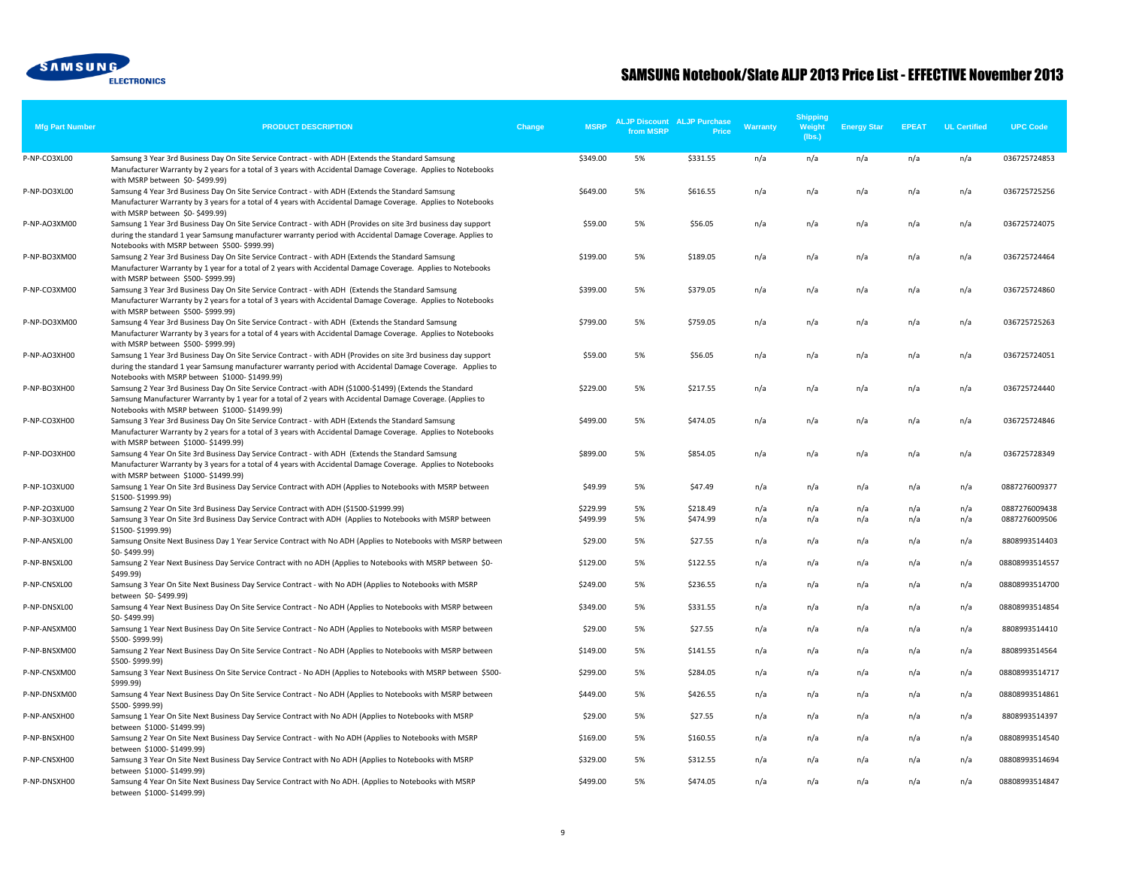

| <b>Mfg Part Number</b> | <b>PRODUCT DESCRIPTION</b>                                                                                                                                                                                                                                                                                      | <b>MSRP</b><br>Change | from MSRP | <b>ALJP Discount ALJP Purchase</b><br>Price | Warranty | <b>Shipping</b><br>Weight<br>(lbs.) | <b>Energy Star</b> | <b>EPEAT</b> | <b>UL Certified</b> | <b>UPC Code</b> |
|------------------------|-----------------------------------------------------------------------------------------------------------------------------------------------------------------------------------------------------------------------------------------------------------------------------------------------------------------|-----------------------|-----------|---------------------------------------------|----------|-------------------------------------|--------------------|--------------|---------------------|-----------------|
| P-NP-CO3XL00           | Samsung 3 Year 3rd Business Day On Site Service Contract - with ADH (Extends the Standard Samsung                                                                                                                                                                                                               | \$349.00              | 5%        | \$331.55                                    | n/a      | n/a                                 | n/a                | n/a          | n/a                 | 036725724853    |
|                        | Manufacturer Warranty by 2 years for a total of 3 years with Accidental Damage Coverage. Applies to Notebooks<br>with MSRP between \$0-\$499.99)                                                                                                                                                                |                       |           |                                             |          |                                     |                    |              |                     |                 |
| P-NP-DO3XL00           | Samsung 4 Year 3rd Business Day On Site Service Contract - with ADH (Extends the Standard Samsung<br>Manufacturer Warranty by 3 years for a total of 4 years with Accidental Damage Coverage. Applies to Notebooks                                                                                              | \$649.00              | 5%        | \$616.55                                    | n/a      | n/a                                 | n/a                | n/a          | n/a                 | 036725725256    |
| P-NP-AO3XM00           | with MSRP between \$0-\$499.99)<br>Samsung 1 Year 3rd Business Day On Site Service Contract - with ADH (Provides on site 3rd business day support<br>during the standard 1 year Samsung manufacturer warranty period with Accidental Damage Coverage. Applies to<br>Notebooks with MSRP between \$500-\$999.99) | \$59.00               | 5%        | \$56.05                                     | n/a      | n/a                                 | n/a                | n/a          | n/a                 | 036725724075    |
| P-NP-BO3XM00           | Samsung 2 Year 3rd Business Day On Site Service Contract - with ADH (Extends the Standard Samsung<br>Manufacturer Warranty by 1 year for a total of 2 years with Accidental Damage Coverage. Applies to Notebooks<br>with MSRP between \$500-\$999.99)                                                          | \$199.00              | 5%        | \$189.05                                    | n/a      | n/a                                 | n/a                | n/a          | n/a                 | 036725724464    |
| P-NP-CO3XM00           | Samsung 3 Year 3rd Business Day On Site Service Contract - with ADH (Extends the Standard Samsung<br>Manufacturer Warranty by 2 years for a total of 3 years with Accidental Damage Coverage. Applies to Notebooks<br>with MSRP between \$500-\$999.99)                                                         | \$399.00              | 5%        | \$379.05                                    | n/a      | n/a                                 | n/a                | n/a          | n/a                 | 036725724860    |
| P-NP-DO3XM00           | Samsung 4 Year 3rd Business Day On Site Service Contract - with ADH (Extends the Standard Samsung<br>Manufacturer Warranty by 3 years for a total of 4 years with Accidental Damage Coverage. Applies to Notebooks<br>with MSRP between \$500-\$999.99)                                                         | \$799.00              | 5%        | \$759.05                                    | n/a      | n/a                                 | n/a                | n/a          | n/a                 | 036725725263    |
| P-NP-AO3XH00           | Samsung 1 Year 3rd Business Day On Site Service Contract - with ADH (Provides on site 3rd business day support<br>during the standard 1 year Samsung manufacturer warranty period with Accidental Damage Coverage. Applies to<br>Notebooks with MSRP between \$1000-\$1499.99)                                  | \$59.00               | 5%        | \$56.05                                     | n/a      | n/a                                 | n/a                | n/a          | n/a                 | 036725724051    |
| P-NP-BO3XH00           | Samsung 2 Year 3rd Business Day On Site Service Contract -with ADH (\$1000-\$1499) (Extends the Standard<br>Samsung Manufacturer Warranty by 1 year for a total of 2 years with Accidental Damage Coverage. (Applies to<br>Notebooks with MSRP between \$1000-\$1499.99)                                        | \$229.00              | 5%        | \$217.55                                    | n/a      | n/a                                 | n/a                | n/a          | n/a                 | 036725724440    |
| P-NP-CO3XH00           | Samsung 3 Year 3rd Business Day On Site Service Contract - with ADH (Extends the Standard Samsung<br>Manufacturer Warranty by 2 years for a total of 3 years with Accidental Damage Coverage. Applies to Notebooks<br>with MSRP between \$1000-\$1499.99)                                                       | \$499.00              | 5%        | \$474.05                                    | n/a      | n/a                                 | n/a                | n/a          | n/a                 | 036725724846    |
| P-NP-DO3XH00           | Samsung 4 Year On Site 3rd Business Day Service Contract - with ADH (Extends the Standard Samsung<br>Manufacturer Warranty by 3 years for a total of 4 years with Accidental Damage Coverage. Applies to Notebooks<br>with MSRP between \$1000-\$1499.99)                                                       | \$899.00              | 5%        | \$854.05                                    | n/a      | n/a                                 | n/a                | n/a          | n/a                 | 036725728349    |
| P-NP-1O3XU00           | Samsung 1 Year On Site 3rd Business Day Service Contract with ADH (Applies to Notebooks with MSRP between<br>\$1500-\$1999.99)                                                                                                                                                                                  | \$49.99               | 5%        | \$47.49                                     | n/a      | n/a                                 | n/a                | n/a          | n/a                 | 0887276009377   |
| P-NP-2O3XU00           | Samsung 2 Year On Site 3rd Business Day Service Contract with ADH (\$1500-\$1999.99)                                                                                                                                                                                                                            | \$229.99              | 5%        | \$218.49                                    | n/a      | n/a                                 | n/a                | n/a          | n/a                 | 0887276009438   |
| P-NP-3O3XU00           | Samsung 3 Year On Site 3rd Business Day Service Contract with ADH (Applies to Notebooks with MSRP between<br>\$1500-\$1999.99)                                                                                                                                                                                  | \$499.99              | 5%        | \$474.99                                    | n/a      | n/a                                 | n/a                | n/a          | n/a                 | 0887276009506   |
| P-NP-ANSXL00           | Samsung Onsite Next Business Day 1 Year Service Contract with No ADH (Applies to Notebooks with MSRP between<br>\$0-\$499.99)                                                                                                                                                                                   | \$29.00               | 5%        | \$27.55                                     | n/a      | n/a                                 | n/a                | n/a          | n/a                 | 8808993514403   |
| P-NP-BNSXL00           | Samsung 2 Year Next Business Day Service Contract with no ADH (Applies to Notebooks with MSRP between \$0-<br>\$499.99)                                                                                                                                                                                         | \$129.00              | 5%        | \$122.55                                    | n/a      | n/a                                 | n/a                | n/a          | n/a                 | 08808993514557  |
| P-NP-CNSXL00           | Samsung 3 Year On Site Next Business Day Service Contract - with No ADH (Applies to Notebooks with MSRP<br>between \$0-\$499.99)                                                                                                                                                                                | \$249.00              | 5%        | \$236.55                                    | n/a      | n/a                                 | n/a                | n/a          | n/a                 | 08808993514700  |
| P-NP-DNSXL00           | Samsung 4 Year Next Business Day On Site Service Contract - No ADH (Applies to Notebooks with MSRP between<br>\$0-\$499.99)                                                                                                                                                                                     | \$349.00              | 5%        | \$331.55                                    | n/a      | n/a                                 | n/a                | n/a          | n/a                 | 08808993514854  |
| P-NP-ANSXM00           | Samsung 1 Year Next Business Day On Site Service Contract - No ADH (Applies to Notebooks with MSRP between<br>\$500-\$999.99)                                                                                                                                                                                   | \$29.00               | 5%        | \$27.55                                     | n/a      | n/a                                 | n/a                | n/a          | n/a                 | 8808993514410   |
| P-NP-BNSXM00           | Samsung 2 Year Next Business Day On Site Service Contract - No ADH (Applies to Notebooks with MSRP between<br>\$500-\$999.99)                                                                                                                                                                                   | \$149.00              | 5%        | \$141.55                                    | n/a      | n/a                                 | n/a                | n/a          | n/a                 | 8808993514564   |
| P-NP-CNSXM00           | Samsung 3 Year Next Business On Site Service Contract - No ADH (Applies to Notebooks with MSRP between \$500-<br>\$999.99)                                                                                                                                                                                      | \$299.00              | 5%        | \$284.05                                    | n/a      | n/a                                 | n/a                | n/a          | n/a                 | 08808993514717  |
| P-NP-DNSXM00           | Samsung 4 Year Next Business Day On Site Service Contract - No ADH (Applies to Notebooks with MSRP between<br>\$500-\$999.99)                                                                                                                                                                                   | \$449.00              | 5%        | \$426.55                                    | n/a      | n/a                                 | n/a                | n/a          | n/a                 | 08808993514861  |
| P-NP-ANSXH00           | Samsung 1 Year On Site Next Business Day Service Contract with No ADH (Applies to Notebooks with MSRP<br>between \$1000-\$1499.99)                                                                                                                                                                              | \$29.00               | 5%        | \$27.55                                     | n/a      | n/a                                 | n/a                | n/a          | n/a                 | 8808993514397   |
| P-NP-BNSXH00           | Samsung 2 Year On Site Next Business Day Service Contract - with No ADH (Applies to Notebooks with MSRP<br>between \$1000-\$1499.99)                                                                                                                                                                            | \$169.00              | 5%        | \$160.55                                    | n/a      | n/a                                 | n/a                | n/a          | n/a                 | 08808993514540  |
| P-NP-CNSXH00           | Samsung 3 Year On Site Next Business Day Service Contract with No ADH (Applies to Notebooks with MSRP<br>between \$1000-\$1499.99)                                                                                                                                                                              | \$329.00              | 5%        | \$312.55                                    | n/a      | n/a                                 | n/a                | n/a          | n/a                 | 08808993514694  |
| P-NP-DNSXH00           | Samsung 4 Year On Site Next Business Day Service Contract with No ADH. (Applies to Notebooks with MSRP<br>between \$1000-\$1499.99)                                                                                                                                                                             | \$499.00              | 5%        | \$474.05                                    | n/a      | n/a                                 | n/a                | n/a          | n/a                 | 08808993514847  |